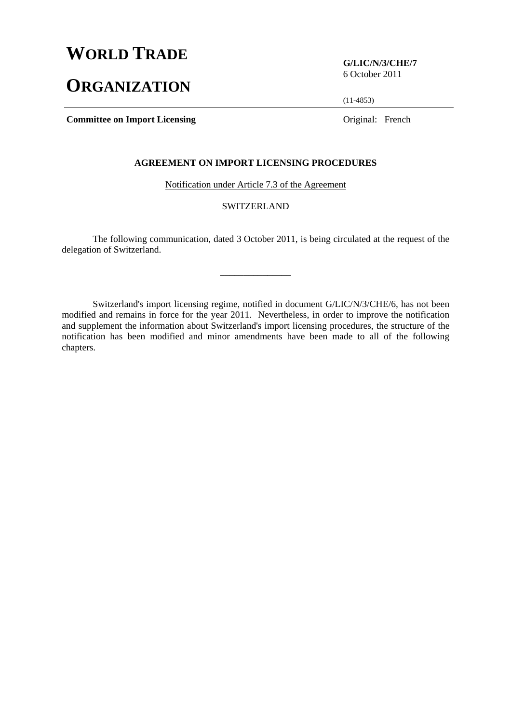# **WORLD TRADE**

# **ORGANIZATION**

**G/LIC/N/3/CHE/7**  6 October 2011

(11-4853)

**Committee on Import Licensing Committee on Import Licensing Committee on Import Licensing Committee on Import Licensing Committee on Import Licensing Committee on Import Licensing Committee on Import Licensing Committee o** 

# **AGREEMENT ON IMPORT LICENSING PROCEDURES**

Notification under Article 7.3 of the Agreement

# SWITZERLAND

 The following communication, dated 3 October 2011, is being circulated at the request of the delegation of Switzerland.

**\_\_\_\_\_\_\_\_\_\_\_\_\_\_\_** 

 Switzerland's import licensing regime, notified in document G/LIC/N/3/CHE/6, has not been modified and remains in force for the year 2011. Nevertheless, in order to improve the notification and supplement the information about Switzerland's import licensing procedures, the structure of the notification has been modified and minor amendments have been made to all of the following chapters.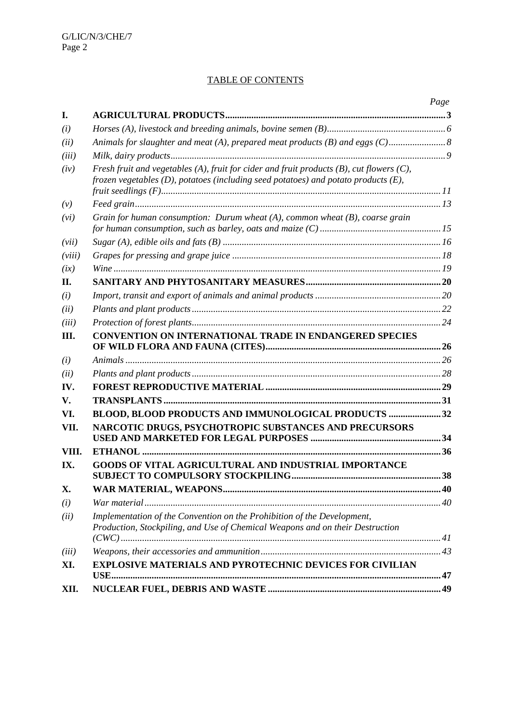# TABLE OF CONTENTS

|        |                                                                                                                                                                                         | Page |
|--------|-----------------------------------------------------------------------------------------------------------------------------------------------------------------------------------------|------|
| I.     |                                                                                                                                                                                         |      |
| (i)    |                                                                                                                                                                                         |      |
| (ii)   | Animals for slaughter and meat (A), prepared meat products (B) and eggs (C)                                                                                                             |      |
| (iii)  |                                                                                                                                                                                         |      |
| (iv)   | Fresh fruit and vegetables (A), fruit for cider and fruit products (B), cut flowers $(C)$ ,<br>frozen vegetables $(D)$ , potatoes (including seed potatoes) and potato products $(E)$ , |      |
| (v)    |                                                                                                                                                                                         |      |
| (vi)   | Grain for human consumption: Durum wheat $(A)$ , common wheat $(B)$ , coarse grain                                                                                                      |      |
| (vii)  |                                                                                                                                                                                         |      |
| (viii) |                                                                                                                                                                                         |      |
| (ix)   |                                                                                                                                                                                         |      |
| П.     |                                                                                                                                                                                         |      |
| (i)    |                                                                                                                                                                                         |      |
| (ii)   |                                                                                                                                                                                         |      |
| (iii)  |                                                                                                                                                                                         |      |
| Ш.     | <b>CONVENTION ON INTERNATIONAL TRADE IN ENDANGERED SPECIES</b>                                                                                                                          |      |
| (i)    |                                                                                                                                                                                         |      |
| (ii)   |                                                                                                                                                                                         |      |
| IV.    |                                                                                                                                                                                         |      |
| V.     |                                                                                                                                                                                         |      |
| VI.    | BLOOD, BLOOD PRODUCTS AND IMMUNOLOGICAL PRODUCTS  32                                                                                                                                    |      |
| VII.   | NARCOTIC DRUGS, PSYCHOTROPIC SUBSTANCES AND PRECURSORS                                                                                                                                  |      |
| VIII.  |                                                                                                                                                                                         |      |
| IX.    | <b>GOODS OF VITAL AGRICULTURAL AND INDUSTRIAL IMPORTANCE</b>                                                                                                                            |      |
| X.     |                                                                                                                                                                                         |      |
| (i)    |                                                                                                                                                                                         |      |
| (ii)   | Implementation of the Convention on the Prohibition of the Development,<br>Production, Stockpiling, and Use of Chemical Weapons and on their Destruction                                |      |
| (iii)  |                                                                                                                                                                                         |      |
| XI.    | <b>EXPLOSIVE MATERIALS AND PYROTECHNIC DEVICES FOR CIVILIAN</b>                                                                                                                         |      |
| XII.   |                                                                                                                                                                                         |      |
|        |                                                                                                                                                                                         |      |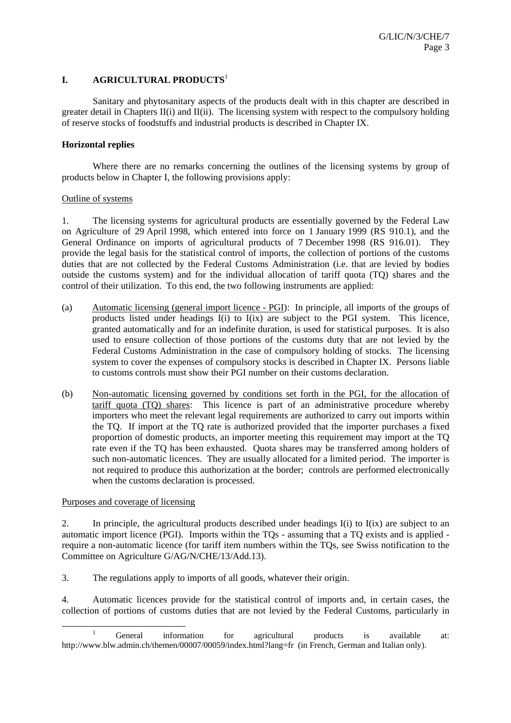# **I. AGRICULTURAL PRODUCTS**<sup>1</sup>

 Sanitary and phytosanitary aspects of the products dealt with in this chapter are described in greater detail in Chapters II(i) and II(ii). The licensing system with respect to the compulsory holding of reserve stocks of foodstuffs and industrial products is described in Chapter IX.

# **Horizontal replies**

 Where there are no remarks concerning the outlines of the licensing systems by group of products below in Chapter I, the following provisions apply:

#### Outline of systems

1. The licensing systems for agricultural products are essentially governed by the Federal Law on Agriculture of 29 April 1998, which entered into force on 1 January 1999 (RS 910.1), and the General Ordinance on imports of agricultural products of 7 December 1998 (RS 916.01). They provide the legal basis for the statistical control of imports, the collection of portions of the customs duties that are not collected by the Federal Customs Administration (i.e. that are levied by bodies outside the customs system) and for the individual allocation of tariff quota (TQ) shares and the control of their utilization. To this end, the two following instruments are applied:

- (a) Automatic licensing (general import licence PGI): In principle, all imports of the groups of products listed under headings I(i) to I(ix) are subject to the PGI system. This licence, granted automatically and for an indefinite duration, is used for statistical purposes. It is also used to ensure collection of those portions of the customs duty that are not levied by the Federal Customs Administration in the case of compulsory holding of stocks. The licensing system to cover the expenses of compulsory stocks is described in Chapter IX. Persons liable to customs controls must show their PGI number on their customs declaration.
- (b) Non-automatic licensing governed by conditions set forth in the PGI, for the allocation of tariff quota (TQ) shares: This licence is part of an administrative procedure whereby importers who meet the relevant legal requirements are authorized to carry out imports within the TQ. If import at the TQ rate is authorized provided that the importer purchases a fixed proportion of domestic products, an importer meeting this requirement may import at the TQ rate even if the TQ has been exhausted. Quota shares may be transferred among holders of such non-automatic licences. They are usually allocated for a limited period. The importer is not required to produce this authorization at the border; controls are performed electronically when the customs declaration is processed.

Purposes and coverage of licensing

2. In principle, the agricultural products described under headings I(i) to I(ix) are subject to an automatic import licence (PGI). Imports within the TQs - assuming that a TQ exists and is applied require a non-automatic licence (for tariff item numbers within the TQs, see Swiss notification to the Committee on Agriculture G/AG/N/CHE/13/Add.13).

3. The regulations apply to imports of all goods, whatever their origin.

4. Automatic licences provide for the statistical control of imports and, in certain cases, the collection of portions of customs duties that are not levied by the Federal Customs, particularly in

<sup>&</sup>lt;u>1</u> <sup>1</sup> General information for agricultural products is available at: http://www.blw.admin.ch/themen/00007/00059/index.html?lang=fr (in French, German and Italian only).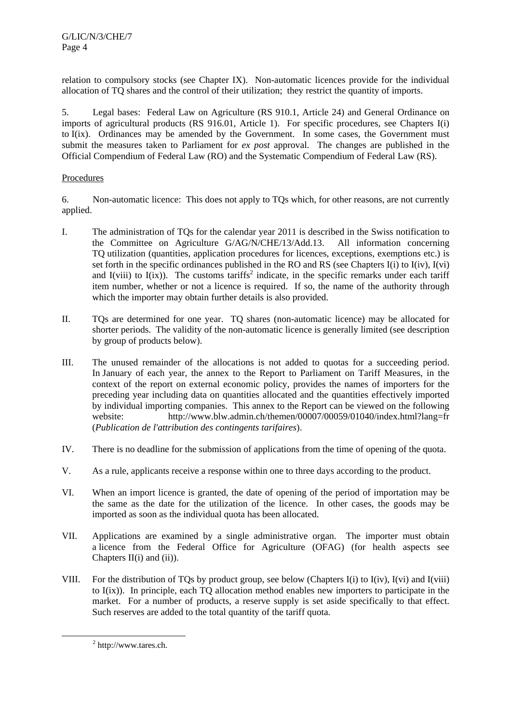relation to compulsory stocks (see Chapter IX). Non-automatic licences provide for the individual allocation of TQ shares and the control of their utilization; they restrict the quantity of imports.

5. Legal bases: Federal Law on Agriculture (RS 910.1, Article 24) and General Ordinance on imports of agricultural products (RS 916.01, Article 1). For specific procedures, see Chapters I(i) to I(ix). Ordinances may be amended by the Government. In some cases, the Government must submit the measures taken to Parliament for *ex post* approval. The changes are published in the Official Compendium of Federal Law (RO) and the Systematic Compendium of Federal Law (RS).

# Procedures

6. Non-automatic licence: This does not apply to TQs which, for other reasons, are not currently applied.

- I. The administration of TQs for the calendar year 2011 is described in the Swiss notification to the Committee on Agriculture G/AG/N/CHE/13/Add.13. All information concerning TQ utilization (quantities, application procedures for licences, exceptions, exemptions etc.) is set forth in the specific ordinances published in the RO and RS (see Chapters I(i) to I(iv), I(vi) and I(viii) to I(ix)). The customs tariffs<sup>2</sup> indicate, in the specific remarks under each tariff item number, whether or not a licence is required. If so, the name of the authority through which the importer may obtain further details is also provided.
- II. TQs are determined for one year. TQ shares (non-automatic licence) may be allocated for shorter periods. The validity of the non-automatic licence is generally limited (see description by group of products below).
- III. The unused remainder of the allocations is not added to quotas for a succeeding period. In January of each year, the annex to the Report to Parliament on Tariff Measures, in the context of the report on external economic policy, provides the names of importers for the preceding year including data on quantities allocated and the quantities effectively imported by individual importing companies. This annex to the Report can be viewed on the following website: http://www.blw.admin.ch/themen/00007/00059/01040/index.html?lang=fr (*Publication de l'attribution des contingents tarifaires*).
- IV. There is no deadline for the submission of applications from the time of opening of the quota.
- V. As a rule, applicants receive a response within one to three days according to the product.
- VI. When an import licence is granted, the date of opening of the period of importation may be the same as the date for the utilization of the licence. In other cases, the goods may be imported as soon as the individual quota has been allocated.
- VII. Applications are examined by a single administrative organ. The importer must obtain a licence from the Federal Office for Agriculture (OFAG) (for health aspects see Chapters  $II(i)$  and  $(ii)$ ).
- VIII. For the distribution of TQs by product group, see below (Chapters I(i) to I(iv), I(vi) and I(viii) to I(ix)). In principle, each TQ allocation method enables new importers to participate in the market. For a number of products, a reserve supply is set aside specifically to that effect. Such reserves are added to the total quantity of the tariff quota.

 <sup>2</sup> http://www.tares.ch.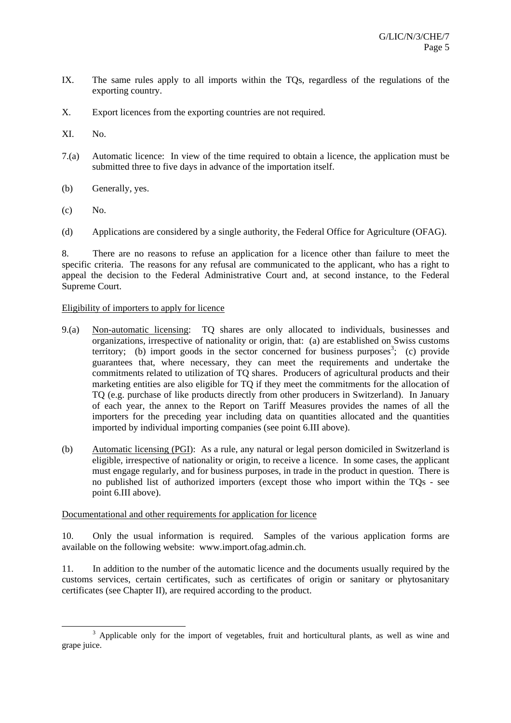- IX. The same rules apply to all imports within the TQs, regardless of the regulations of the exporting country.
- X. Export licences from the exporting countries are not required.
- XI. No.
- 7.(a) Automatic licence: In view of the time required to obtain a licence, the application must be submitted three to five days in advance of the importation itself.
- (b) Generally, yes.
- $(c)$  No.
- (d) Applications are considered by a single authority, the Federal Office for Agriculture (OFAG).

8. There are no reasons to refuse an application for a licence other than failure to meet the specific criteria. The reasons for any refusal are communicated to the applicant, who has a right to appeal the decision to the Federal Administrative Court and, at second instance, to the Federal Supreme Court.

# Eligibility of importers to apply for licence

- 9.(a) Non-automatic licensing: TQ shares are only allocated to individuals, businesses and organizations, irrespective of nationality or origin, that: (a) are established on Swiss customs territory; (b) import goods in the sector concerned for business purposes<sup>3</sup>; (c) provide guarantees that, where necessary, they can meet the requirements and undertake the commitments related to utilization of TQ shares. Producers of agricultural products and their marketing entities are also eligible for TQ if they meet the commitments for the allocation of TQ (e.g. purchase of like products directly from other producers in Switzerland). In January of each year, the annex to the Report on Tariff Measures provides the names of all the importers for the preceding year including data on quantities allocated and the quantities imported by individual importing companies (see point 6.III above).
- (b) Automatic licensing (PGI): As a rule, any natural or legal person domiciled in Switzerland is eligible, irrespective of nationality or origin, to receive a licence. In some cases, the applicant must engage regularly, and for business purposes, in trade in the product in question. There is no published list of authorized importers (except those who import within the TQs - see point 6.III above).

# Documentational and other requirements for application for licence

10. Only the usual information is required. Samples of the various application forms are available on the following website: www.import.ofag.admin.ch.

11. In addition to the number of the automatic licence and the documents usually required by the customs services, certain certificates, such as certificates of origin or sanitary or phytosanitary certificates (see Chapter II), are required according to the product.

 <sup>3</sup> <sup>3</sup> Applicable only for the import of vegetables, fruit and horticultural plants, as well as wine and grape juice.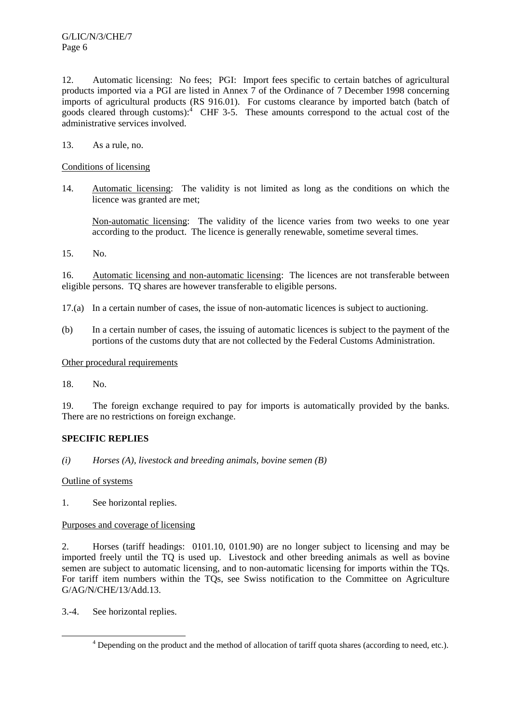12. Automatic licensing: No fees; PGI: Import fees specific to certain batches of agricultural products imported via a PGI are listed in Annex 7 of the Ordinance of 7 December 1998 concerning imports of agricultural products (RS 916.01). For customs clearance by imported batch (batch of goods cleared through customs): $\frac{4}{1}$  CHF 3-5. These amounts correspond to the actual cost of the administrative services involved.

13. As a rule, no.

# Conditions of licensing

14. Automatic licensing: The validity is not limited as long as the conditions on which the licence was granted are met;

 Non-automatic licensing: The validity of the licence varies from two weeks to one year according to the product. The licence is generally renewable, sometime several times.

15. No.

16. Automatic licensing and non-automatic licensing: The licences are not transferable between eligible persons. TQ shares are however transferable to eligible persons.

- 17.(a) In a certain number of cases, the issue of non-automatic licences is subject to auctioning.
- (b) In a certain number of cases, the issuing of automatic licences is subject to the payment of the portions of the customs duty that are not collected by the Federal Customs Administration.

# Other procedural requirements

18. No.

19. The foreign exchange required to pay for imports is automatically provided by the banks. There are no restrictions on foreign exchange.

# **SPECIFIC REPLIES**

# *(i) Horses (A), livestock and breeding animals, bovine semen (B)*

Outline of systems

1. See horizontal replies.

# Purposes and coverage of licensing

2. Horses (tariff headings: 0101.10, 0101.90) are no longer subject to licensing and may be imported freely until the TQ is used up. Livestock and other breeding animals as well as bovine semen are subject to automatic licensing, and to non-automatic licensing for imports within the TQs. For tariff item numbers within the TQs, see Swiss notification to the Committee on Agriculture G/AG/N/CHE/13/Add.13.

3.-4. See horizontal replies.

 $\frac{1}{4}$ Depending on the product and the method of allocation of tariff quota shares (according to need, etc.).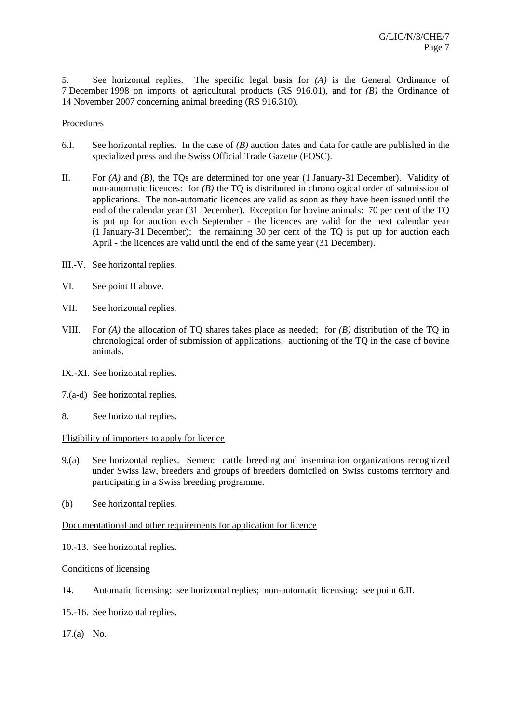5. See horizontal replies. The specific legal basis for *(A)* is the General Ordinance of 7 December 1998 on imports of agricultural products (RS 916.01), and for *(B)* the Ordinance of 14 November 2007 concerning animal breeding (RS 916.310).

## Procedures

- 6.I. See horizontal replies. In the case of *(B)* auction dates and data for cattle are published in the specialized press and the Swiss Official Trade Gazette (FOSC).
- II. For *(A)* and *(B)*, the TQs are determined for one year (1 January-31 December). Validity of non-automatic licences: for *(B)* the TQ is distributed in chronological order of submission of applications. The non-automatic licences are valid as soon as they have been issued until the end of the calendar year (31 December). Exception for bovine animals: 70 per cent of the TQ is put up for auction each September - the licences are valid for the next calendar year (1 January-31 December); the remaining 30 per cent of the TQ is put up for auction each April - the licences are valid until the end of the same year (31 December).
- III.-V. See horizontal replies.
- VI. See point II above.
- VII. See horizontal replies.
- VIII. For *(A)* the allocation of TQ shares takes place as needed; for *(B)* distribution of the TQ in chronological order of submission of applications; auctioning of the TQ in the case of bovine animals.
- IX.-XI. See horizontal replies.
- 7.(a-d) See horizontal replies.
- 8. See horizontal replies.

# Eligibility of importers to apply for licence

- 9.(a) See horizontal replies. Semen: cattle breeding and insemination organizations recognized under Swiss law, breeders and groups of breeders domiciled on Swiss customs territory and participating in a Swiss breeding programme.
- (b) See horizontal replies.

# Documentational and other requirements for application for licence

10.-13. See horizontal replies.

# Conditions of licensing

- 14. Automatic licensing: see horizontal replies; non-automatic licensing: see point 6.II.
- 15.-16. See horizontal replies.
- 17.(a) No.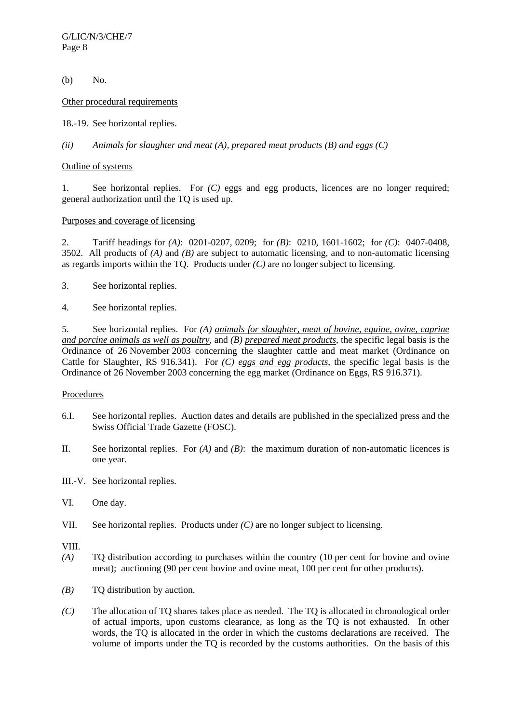G/LIC/N/3/CHE/7 Page 8

(b) No.

Other procedural requirements

18.-19. See horizontal replies.

*(ii) Animals for slaughter and meat (A), prepared meat products (B) and eggs (C)* 

# Outline of systems

1. See horizontal replies. For *(C)* eggs and egg products, licences are no longer required; general authorization until the TQ is used up.

# Purposes and coverage of licensing

2. Tariff headings for *(A)*: 0201-0207, 0209; for *(B)*: 0210, 1601-1602; for *(C)*: 0407-0408, 3502. All products of *(A)* and *(B)* are subject to automatic licensing, and to non-automatic licensing as regards imports within the TQ. Products under *(C)* are no longer subject to licensing.

- 3. See horizontal replies.
- 4. See horizontal replies.

5. See horizontal replies. For *(A) animals for slaughter, meat of bovine, equine, ovine, caprine and porcine animals as well as poultry*, and *(B) prepared meat products*, the specific legal basis is the Ordinance of 26 November 2003 concerning the slaughter cattle and meat market (Ordinance on Cattle for Slaughter, RS 916.341). For *(C) eggs and egg products*, the specific legal basis is the Ordinance of 26 November 2003 concerning the egg market (Ordinance on Eggs, RS 916.371).

# Procedures

- 6.I. See horizontal replies. Auction dates and details are published in the specialized press and the Swiss Official Trade Gazette (FOSC).
- II. See horizontal replies. For *(A)* and *(B)*: the maximum duration of non-automatic licences is one year.
- III.-V. See horizontal replies.
- VI. One day.
- VII. See horizontal replies. Products under *(C)* are no longer subject to licensing.

VIII.

- *(A)* TQ distribution according to purchases within the country (10 per cent for bovine and ovine meat); auctioning (90 per cent bovine and ovine meat, 100 per cent for other products).
- *(B)* TQ distribution by auction.
- *(C)* The allocation of TQ shares takes place as needed. The TQ is allocated in chronological order of actual imports, upon customs clearance, as long as the TQ is not exhausted. In other words, the TQ is allocated in the order in which the customs declarations are received. The volume of imports under the TQ is recorded by the customs authorities. On the basis of this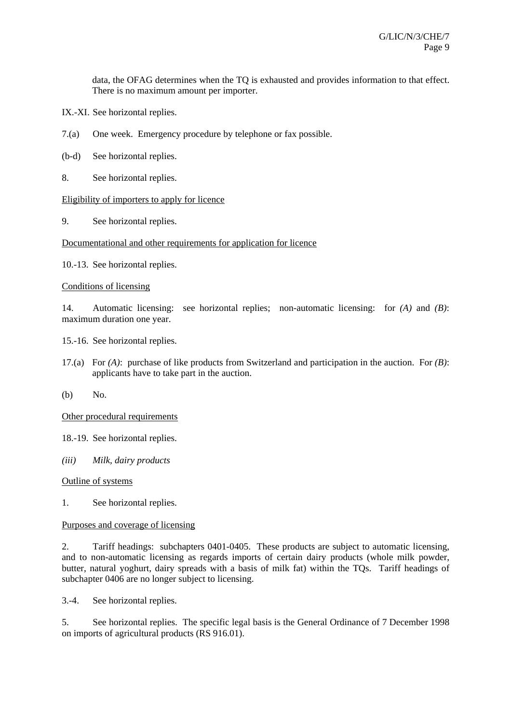data, the OFAG determines when the TQ is exhausted and provides information to that effect. There is no maximum amount per importer.

- IX.-XI. See horizontal replies.
- 7.(a) One week. Emergency procedure by telephone or fax possible.
- (b-d) See horizontal replies.
- 8. See horizontal replies.

# Eligibility of importers to apply for licence

9. See horizontal replies.

# Documentational and other requirements for application for licence

10.-13. See horizontal replies.

# Conditions of licensing

14. Automatic licensing: see horizontal replies; non-automatic licensing: for *(A)* and *(B)*: maximum duration one year.

- 15.-16. See horizontal replies.
- 17.(a) For *(A)*: purchase of like products from Switzerland and participation in the auction. For *(B)*: applicants have to take part in the auction.
- (b) No.

Other procedural requirements

- 18.-19. See horizontal replies.
- *(iii) Milk, dairy products*

# Outline of systems

1. See horizontal replies.

# Purposes and coverage of licensing

2. Tariff headings: subchapters 0401-0405. These products are subject to automatic licensing, and to non-automatic licensing as regards imports of certain dairy products (whole milk powder, butter, natural yoghurt, dairy spreads with a basis of milk fat) within the TQs. Tariff headings of subchapter 0406 are no longer subject to licensing.

3.-4. See horizontal replies.

5. See horizontal replies. The specific legal basis is the General Ordinance of 7 December 1998 on imports of agricultural products (RS 916.01).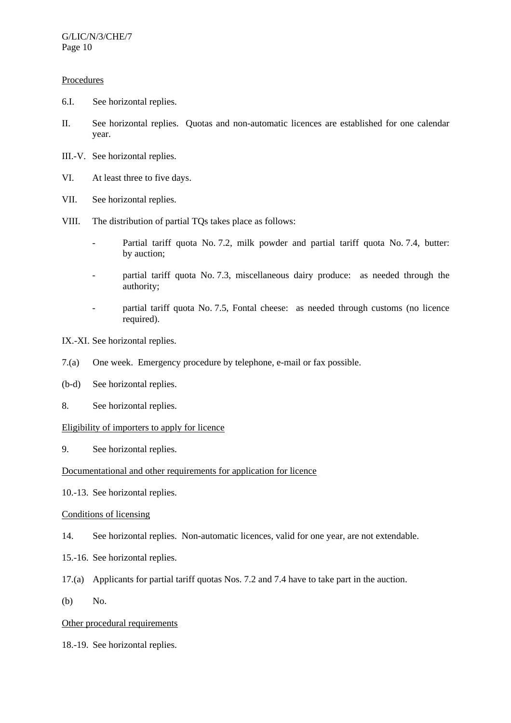# **Procedures**

- 6.I. See horizontal replies.
- II. See horizontal replies. Quotas and non-automatic licences are established for one calendar year.
- III.-V. See horizontal replies.
- VI. At least three to five days.
- VII. See horizontal replies.
- VIII. The distribution of partial TQs takes place as follows:
	- Partial tariff quota No. 7.2, milk powder and partial tariff quota No. 7.4, butter: by auction;
	- partial tariff quota No. 7.3, miscellaneous dairy produce: as needed through the authority;
	- partial tariff quota No. 7.5, Fontal cheese: as needed through customs (no licence required).
- IX.-XI. See horizontal replies.
- 7.(a) One week. Emergency procedure by telephone, e-mail or fax possible.
- (b-d) See horizontal replies.
- 8. See horizontal replies.

## Eligibility of importers to apply for licence

9. See horizontal replies.

## Documentational and other requirements for application for licence

10.-13. See horizontal replies.

# Conditions of licensing

- 14. See horizontal replies. Non-automatic licences, valid for one year, are not extendable.
- 15.-16. See horizontal replies.
- 17.(a) Applicants for partial tariff quotas Nos. 7.2 and 7.4 have to take part in the auction.
- (b) No.

# Other procedural requirements

18.-19. See horizontal replies.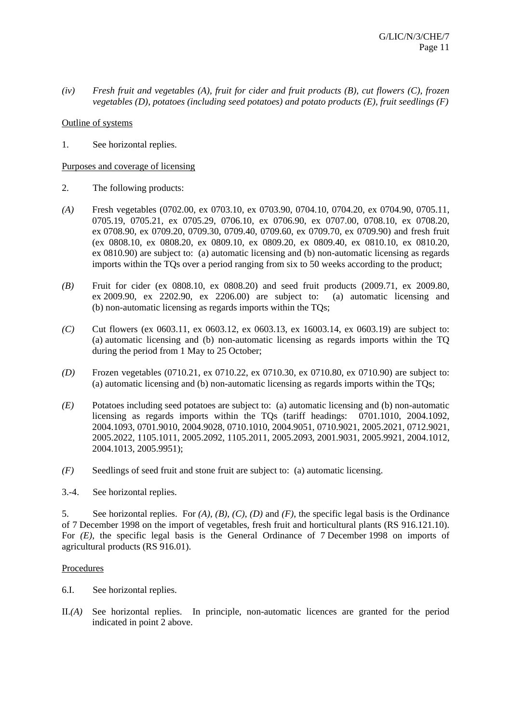*(iv) Fresh fruit and vegetables (A), fruit for cider and fruit products (B), cut flowers (C), frozen vegetables (D), potatoes (including seed potatoes) and potato products (E), fruit seedlings (F)* 

Outline of systems

1. See horizontal replies.

# Purposes and coverage of licensing

- 2. The following products:
- *(A)* Fresh vegetables (0702.00, ex 0703.10, ex 0703.90, 0704.10, 0704.20, ex 0704.90, 0705.11, 0705.19, 0705.21, ex 0705.29, 0706.10, ex 0706.90, ex 0707.00, 0708.10, ex 0708.20, ex 0708.90, ex 0709.20, 0709.30, 0709.40, 0709.60, ex 0709.70, ex 0709.90) and fresh fruit (ex 0808.10, ex 0808.20, ex 0809.10, ex 0809.20, ex 0809.40, ex 0810.10, ex 0810.20, ex 0810.90) are subject to: (a) automatic licensing and (b) non-automatic licensing as regards imports within the TQs over a period ranging from six to 50 weeks according to the product;
- *(B)* Fruit for cider (ex 0808.10, ex 0808.20) and seed fruit products (2009.71, ex 2009.80, ex 2009.90, ex 2202.90, ex 2206.00) are subject to: (a) automatic licensing and (b) non-automatic licensing as regards imports within the TQs;
- *(C)* Cut flowers (ex 0603.11, ex 0603.12, ex 0603.13, ex 16003.14, ex 0603.19) are subject to: (a) automatic licensing and (b) non-automatic licensing as regards imports within the TQ during the period from 1 May to 25 October;
- *(D)* Frozen vegetables (0710.21, ex 0710.22, ex 0710.30, ex 0710.80, ex 0710.90) are subject to: (a) automatic licensing and (b) non-automatic licensing as regards imports within the TQs;
- *(E)* Potatoes including seed potatoes are subject to: (a) automatic licensing and (b) non-automatic licensing as regards imports within the TQs (tariff headings: 0701.1010, 2004.1092, 2004.1093, 0701.9010, 2004.9028, 0710.1010, 2004.9051, 0710.9021, 2005.2021, 0712.9021, 2005.2022, 1105.1011, 2005.2092, 1105.2011, 2005.2093, 2001.9031, 2005.9921, 2004.1012, 2004.1013, 2005.9951);
- *(F)* Seedlings of seed fruit and stone fruit are subject to: (a) automatic licensing.
- 3.-4. See horizontal replies.

5. See horizontal replies. For *(A)*, *(B)*, *(C)*, *(D)* and *(F)*, the specific legal basis is the Ordinance of 7 December 1998 on the import of vegetables, fresh fruit and horticultural plants (RS 916.121.10). For *(E)*, the specific legal basis is the General Ordinance of 7 December 1998 on imports of agricultural products (RS 916.01).

# Procedures

- 6.I. See horizontal replies.
- II.*(A)* See horizontal replies. In principle, non-automatic licences are granted for the period indicated in point 2 above.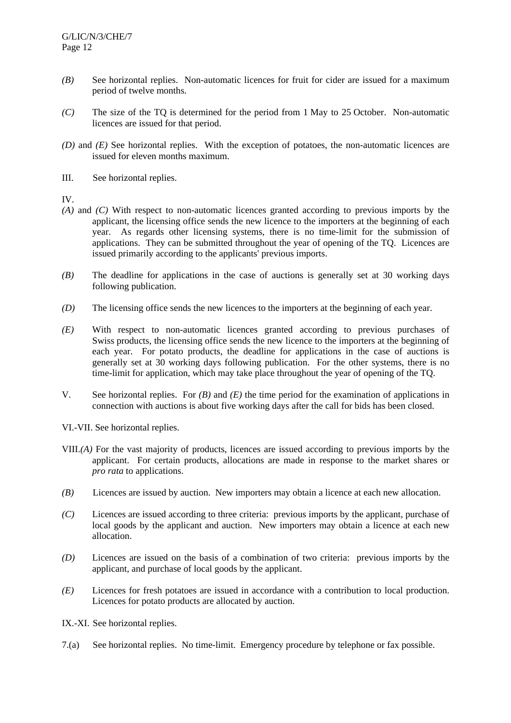- *(B)* See horizontal replies. Non-automatic licences for fruit for cider are issued for a maximum period of twelve months.
- *(C)* The size of the TQ is determined for the period from 1 May to 25 October. Non-automatic licences are issued for that period.
- *(D)* and *(E)* See horizontal replies. With the exception of potatoes, the non-automatic licences are issued for eleven months maximum.
- III. See horizontal replies.

IV.

- *(A)* and *(C)* With respect to non-automatic licences granted according to previous imports by the applicant, the licensing office sends the new licence to the importers at the beginning of each year. As regards other licensing systems, there is no time-limit for the submission of applications. They can be submitted throughout the year of opening of the TQ. Licences are issued primarily according to the applicants' previous imports.
- *(B)* The deadline for applications in the case of auctions is generally set at 30 working days following publication.
- *(D)* The licensing office sends the new licences to the importers at the beginning of each year.
- *(E)* With respect to non-automatic licences granted according to previous purchases of Swiss products, the licensing office sends the new licence to the importers at the beginning of each year. For potato products, the deadline for applications in the case of auctions is generally set at 30 working days following publication. For the other systems, there is no time-limit for application, which may take place throughout the year of opening of the TQ.
- V. See horizontal replies. For *(B)* and *(E)* the time period for the examination of applications in connection with auctions is about five working days after the call for bids has been closed.

VI.-VII. See horizontal replies.

- VIII.*(A)* For the vast majority of products, licences are issued according to previous imports by the applicant. For certain products, allocations are made in response to the market shares or *pro rata* to applications.
- *(B)* Licences are issued by auction. New importers may obtain a licence at each new allocation.
- *(C)* Licences are issued according to three criteria: previous imports by the applicant, purchase of local goods by the applicant and auction. New importers may obtain a licence at each new allocation.
- *(D)* Licences are issued on the basis of a combination of two criteria: previous imports by the applicant, and purchase of local goods by the applicant.
- *(E)* Licences for fresh potatoes are issued in accordance with a contribution to local production. Licences for potato products are allocated by auction.
- IX.-XI. See horizontal replies.
- 7.(a) See horizontal replies. No time-limit. Emergency procedure by telephone or fax possible.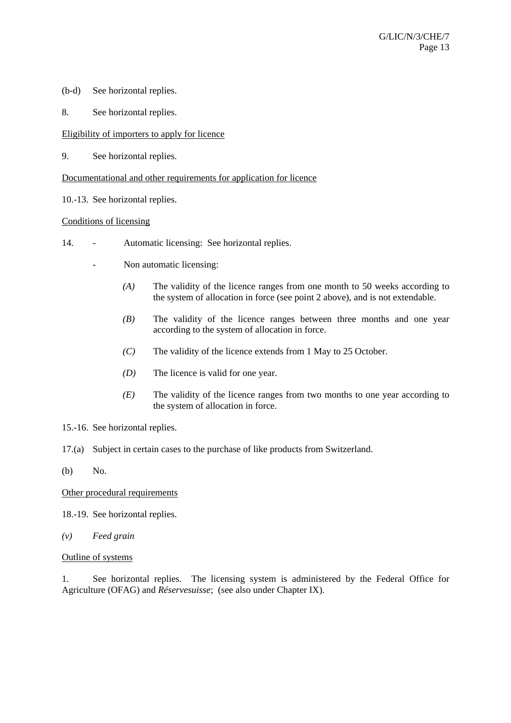- (b-d) See horizontal replies.
- 8. See horizontal replies.

# Eligibility of importers to apply for licence

9. See horizontal replies.

Documentational and other requirements for application for licence

10.-13. See horizontal replies.

# Conditions of licensing

- 14. Automatic licensing: See horizontal replies.
	- Non automatic licensing:
		- *(A)* The validity of the licence ranges from one month to 50 weeks according to the system of allocation in force (see point 2 above), and is not extendable.
		- *(B)* The validity of the licence ranges between three months and one year according to the system of allocation in force.
		- *(C)* The validity of the licence extends from 1 May to 25 October.
		- *(D)* The licence is valid for one year.
		- *(E)* The validity of the licence ranges from two months to one year according to the system of allocation in force.
- 15.-16. See horizontal replies.
- 17.(a) Subject in certain cases to the purchase of like products from Switzerland.
- (b) No.

Other procedural requirements

18.-19. See horizontal replies.

- *(v) Feed grain*
- Outline of systems

1. See horizontal replies. The licensing system is administered by the Federal Office for Agriculture (OFAG) and *Réservesuisse*; (see also under Chapter IX).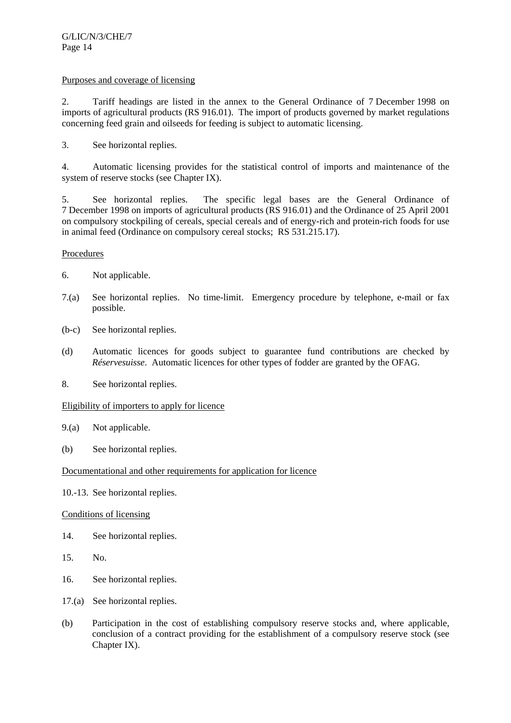# Purposes and coverage of licensing

2. Tariff headings are listed in the annex to the General Ordinance of 7 December 1998 on imports of agricultural products (RS 916.01). The import of products governed by market regulations concerning feed grain and oilseeds for feeding is subject to automatic licensing.

3. See horizontal replies.

4. Automatic licensing provides for the statistical control of imports and maintenance of the system of reserve stocks (see Chapter IX).

5. See horizontal replies. The specific legal bases are the General Ordinance of 7 December 1998 on imports of agricultural products (RS 916.01) and the Ordinance of 25 April 2001 on compulsory stockpiling of cereals, special cereals and of energy-rich and protein-rich foods for use in animal feed (Ordinance on compulsory cereal stocks; RS 531.215.17).

# Procedures

- 6. Not applicable.
- 7.(a) See horizontal replies. No time-limit. Emergency procedure by telephone, e-mail or fax possible.
- (b-c) See horizontal replies.
- (d) Automatic licences for goods subject to guarantee fund contributions are checked by *Réservesuisse*. Automatic licences for other types of fodder are granted by the OFAG.
- 8. See horizontal replies.

# Eligibility of importers to apply for licence

- 9.(a) Not applicable.
- (b) See horizontal replies.

# Documentational and other requirements for application for licence

10.-13. See horizontal replies.

# Conditions of licensing

- 14. See horizontal replies.
- 15. No.
- 16. See horizontal replies.
- 17.(a) See horizontal replies.
- (b) Participation in the cost of establishing compulsory reserve stocks and, where applicable, conclusion of a contract providing for the establishment of a compulsory reserve stock (see Chapter IX).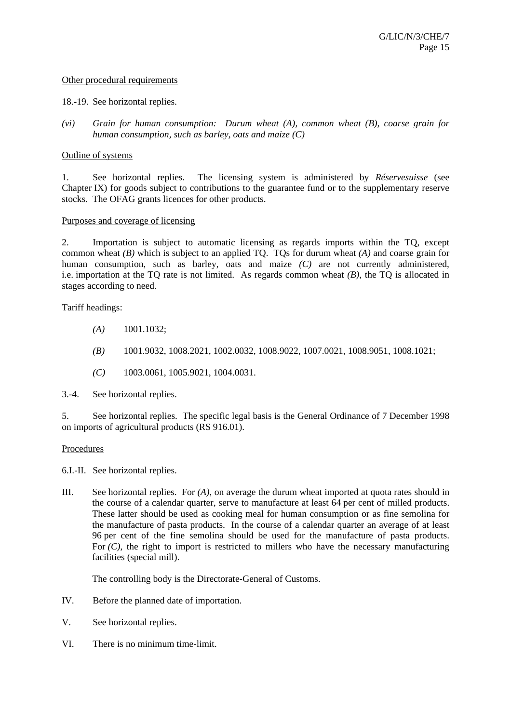### Other procedural requirements

#### 18.-19. See horizontal replies.

*(vi) Grain for human consumption: Durum wheat (A), common wheat (B), coarse grain for human consumption, such as barley, oats and maize (C)* 

#### Outline of systems

1. See horizontal replies. The licensing system is administered by *Réservesuisse* (see Chapter IX) for goods subject to contributions to the guarantee fund or to the supplementary reserve stocks. The OFAG grants licences for other products.

#### Purposes and coverage of licensing

2. Importation is subject to automatic licensing as regards imports within the TQ, except common wheat *(B)* which is subject to an applied TQ. TQs for durum wheat *(A)* and coarse grain for human consumption, such as barley, oats and maize *(C)* are not currently administered, i.e. importation at the TQ rate is not limited. As regards common wheat *(B)*, the TQ is allocated in stages according to need.

Tariff headings:

- *(A)* 1001.1032;
- *(B)* 1001.9032, 1008.2021, 1002.0032, 1008.9022, 1007.0021, 1008.9051, 1008.1021;
- *(C)* 1003.0061, 1005.9021, 1004.0031.

3.-4. See horizontal replies.

5. See horizontal replies. The specific legal basis is the General Ordinance of 7 December 1998 on imports of agricultural products (RS 916.01).

# **Procedures**

6.I.-II. See horizontal replies.

III. See horizontal replies. For *(A)*, on average the durum wheat imported at quota rates should in the course of a calendar quarter, serve to manufacture at least 64 per cent of milled products. These latter should be used as cooking meal for human consumption or as fine semolina for the manufacture of pasta products. In the course of a calendar quarter an average of at least 96 per cent of the fine semolina should be used for the manufacture of pasta products. For  $(C)$ , the right to import is restricted to millers who have the necessary manufacturing facilities (special mill).

The controlling body is the Directorate-General of Customs.

- IV. Before the planned date of importation.
- V. See horizontal replies.
- VI. There is no minimum time-limit.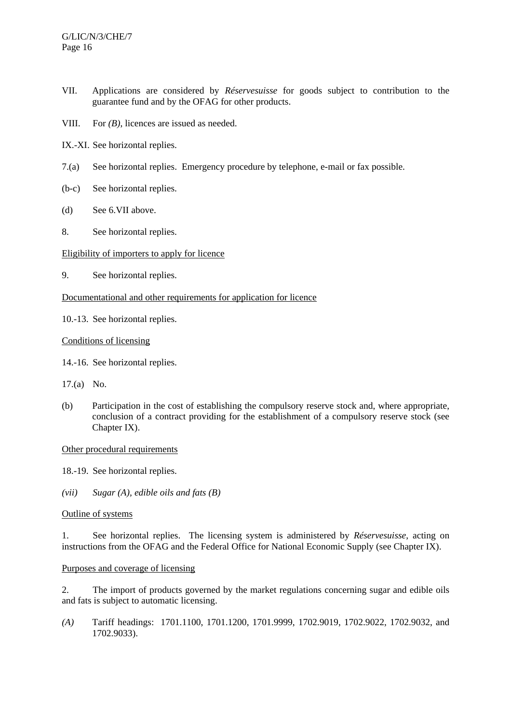- VII. Applications are considered by *Réservesuisse* for goods subject to contribution to the guarantee fund and by the OFAG for other products.
- VIII. For *(B)*, licences are issued as needed.
- IX.-XI. See horizontal replies.
- 7.(a) See horizontal replies. Emergency procedure by telephone, e-mail or fax possible.
- (b-c) See horizontal replies.
- (d) See 6.VII above.
- 8. See horizontal replies.

# Eligibility of importers to apply for licence

9. See horizontal replies.

# Documentational and other requirements for application for licence

10.-13. See horizontal replies.

# Conditions of licensing

- 14.-16. See horizontal replies.
- 17.(a) No.
- (b) Participation in the cost of establishing the compulsory reserve stock and, where appropriate, conclusion of a contract providing for the establishment of a compulsory reserve stock (see Chapter IX).

# Other procedural requirements

- 18.-19. See horizontal replies.
- *(vii) Sugar (A), edible oils and fats (B)*

# Outline of systems

1. See horizontal replies. The licensing system is administered by *Réservesuisse*, acting on instructions from the OFAG and the Federal Office for National Economic Supply (see Chapter IX).

# Purposes and coverage of licensing

2. The import of products governed by the market regulations concerning sugar and edible oils and fats is subject to automatic licensing.

*(A)* Tariff headings: 1701.1100, 1701.1200, 1701.9999, 1702.9019, 1702.9022, 1702.9032, and 1702.9033).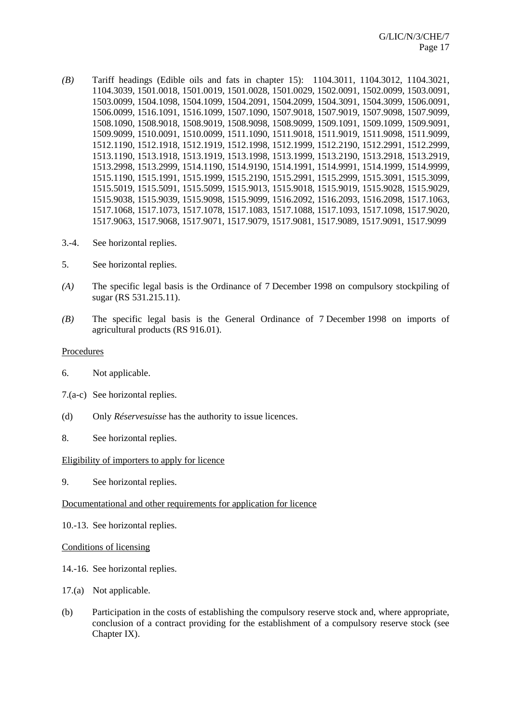- *(B)* Tariff headings (Edible oils and fats in chapter 15): 1104.3011, 1104.3012, 1104.3021, 1104.3039, 1501.0018, 1501.0019, 1501.0028, 1501.0029, 1502.0091, 1502.0099, 1503.0091, 1503.0099, 1504.1098, 1504.1099, 1504.2091, 1504.2099, 1504.3091, 1504.3099, 1506.0091, 1506.0099, 1516.1091, 1516.1099, 1507.1090, 1507.9018, 1507.9019, 1507.9098, 1507.9099, 1508.1090, 1508.9018, 1508.9019, 1508.9098, 1508.9099, 1509.1091, 1509.1099, 1509.9091, 1509.9099, 1510.0091, 1510.0099, 1511.1090, 1511.9018, 1511.9019, 1511.9098, 1511.9099, 1512.1190, 1512.1918, 1512.1919, 1512.1998, 1512.1999, 1512.2190, 1512.2991, 1512.2999, 1513.1190, 1513.1918, 1513.1919, 1513.1998, 1513.1999, 1513.2190, 1513.2918, 1513.2919, 1513.2998, 1513.2999, 1514.1190, 1514.9190, 1514.1991, 1514.9991, 1514.1999, 1514.9999, 1515.1190, 1515.1991, 1515.1999, 1515.2190, 1515.2991, 1515.2999, 1515.3091, 1515.3099, 1515.5019, 1515.5091, 1515.5099, 1515.9013, 1515.9018, 1515.9019, 1515.9028, 1515.9029, 1515.9038, 1515.9039, 1515.9098, 1515.9099, 1516.2092, 1516.2093, 1516.2098, 1517.1063, 1517.1068, 1517.1073, 1517.1078, 1517.1083, 1517.1088, 1517.1093, 1517.1098, 1517.9020, 1517.9063, 1517.9068, 1517.9071, 1517.9079, 1517.9081, 1517.9089, 1517.9091, 1517.9099
- 3.-4. See horizontal replies.
- 5. See horizontal replies.
- *(A)* The specific legal basis is the Ordinance of 7 December 1998 on compulsory stockpiling of sugar (RS 531.215.11).
- *(B)* The specific legal basis is the General Ordinance of 7 December 1998 on imports of agricultural products (RS 916.01).

# **Procedures**

- 6. Not applicable.
- 7.(a-c) See horizontal replies.
- (d) Only *Réservesuisse* has the authority to issue licences.
- 8. See horizontal replies.

# Eligibility of importers to apply for licence

9. See horizontal replies.

# Documentational and other requirements for application for licence

10.-13. See horizontal replies.

# Conditions of licensing

- 14.-16. See horizontal replies.
- 17.(a) Not applicable.
- (b) Participation in the costs of establishing the compulsory reserve stock and, where appropriate, conclusion of a contract providing for the establishment of a compulsory reserve stock (see Chapter IX).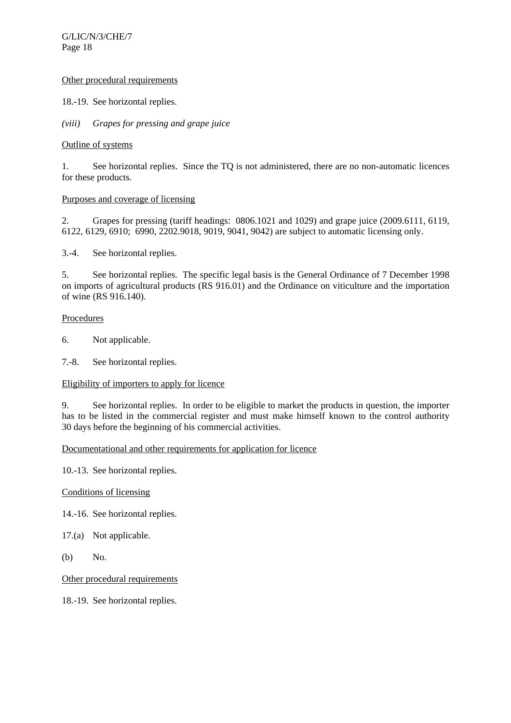# Other procedural requirements

18.-19. See horizontal replies.

*(viii) Grapes for pressing and grape juice* 

# Outline of systems

1. See horizontal replies. Since the TQ is not administered, there are no non-automatic licences for these products.

# Purposes and coverage of licensing

2. Grapes for pressing (tariff headings: 0806.1021 and 1029) and grape juice (2009.6111, 6119, 6122, 6129, 6910; 6990, 2202.9018, 9019, 9041, 9042) are subject to automatic licensing only.

3.-4. See horizontal replies.

5. See horizontal replies. The specific legal basis is the General Ordinance of 7 December 1998 on imports of agricultural products (RS 916.01) and the Ordinance on viticulture and the importation of wine (RS 916.140).

# Procedures

6. Not applicable.

7.-8. See horizontal replies.

# Eligibility of importers to apply for licence

9. See horizontal replies. In order to be eligible to market the products in question, the importer has to be listed in the commercial register and must make himself known to the control authority 30 days before the beginning of his commercial activities.

# Documentational and other requirements for application for licence

10.-13. See horizontal replies.

# Conditions of licensing

14.-16. See horizontal replies.

17.(a) Not applicable.

(b) No.

Other procedural requirements

18.-19. See horizontal replies.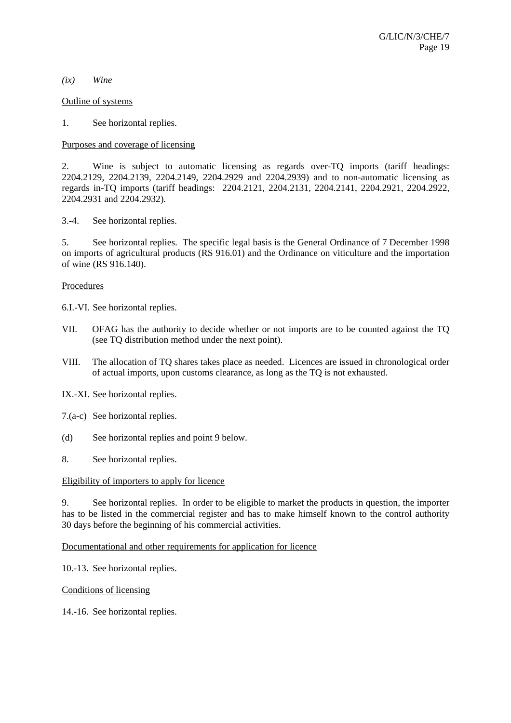#### *(ix) Wine*

### Outline of systems

1. See horizontal replies.

# Purposes and coverage of licensing

2. Wine is subject to automatic licensing as regards over-TQ imports (tariff headings: 2204.2129, 2204.2139, 2204.2149, 2204.2929 and 2204.2939) and to non-automatic licensing as regards in-TQ imports (tariff headings: 2204.2121, 2204.2131, 2204.2141, 2204.2921, 2204.2922, 2204.2931 and 2204.2932).

3.-4. See horizontal replies.

5. See horizontal replies. The specific legal basis is the General Ordinance of 7 December 1998 on imports of agricultural products (RS 916.01) and the Ordinance on viticulture and the importation of wine (RS 916.140).

# **Procedures**

6.I.-VI. See horizontal replies.

- VII. OFAG has the authority to decide whether or not imports are to be counted against the TQ (see TQ distribution method under the next point).
- VIII. The allocation of TQ shares takes place as needed. Licences are issued in chronological order of actual imports, upon customs clearance, as long as the TQ is not exhausted.

IX.-XI. See horizontal replies.

- 7.(a-c) See horizontal replies.
- (d) See horizontal replies and point 9 below.

8. See horizontal replies.

# Eligibility of importers to apply for licence

9. See horizontal replies. In order to be eligible to market the products in question, the importer has to be listed in the commercial register and has to make himself known to the control authority 30 days before the beginning of his commercial activities.

Documentational and other requirements for application for licence

10.-13. See horizontal replies.

# Conditions of licensing

14.-16. See horizontal replies.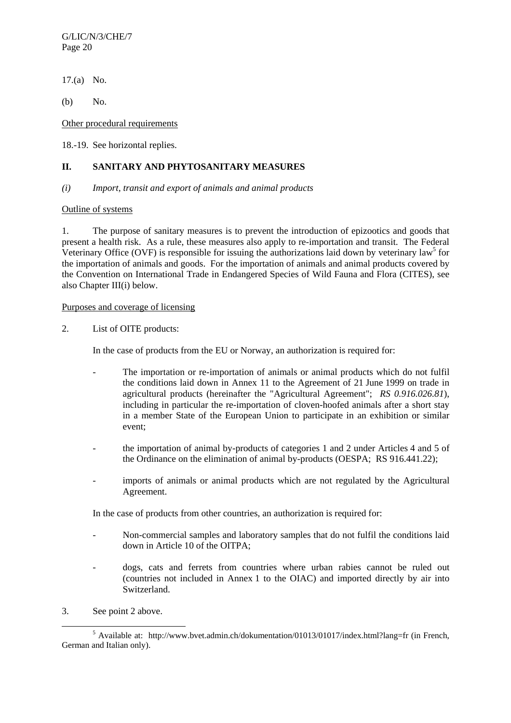G/LIC/N/3/CHE/7 Page 20

17.(a) No.

(b) No.

Other procedural requirements

18.-19. See horizontal replies.

# **II. SANITARY AND PHYTOSANITARY MEASURES**

# *(i) Import, transit and export of animals and animal products*

# Outline of systems

1. The purpose of sanitary measures is to prevent the introduction of epizootics and goods that present a health risk. As a rule, these measures also apply to re-importation and transit. The Federal Veterinary Office (OVF) is responsible for issuing the authorizations laid down by veterinary law<sup>5</sup> for the importation of animals and goods. For the importation of animals and animal products covered by the Convention on International Trade in Endangered Species of Wild Fauna and Flora (CITES), see also Chapter III(i) below.

# Purposes and coverage of licensing

2. List of OITE products:

In the case of products from the EU or Norway, an authorization is required for:

- The importation or re-importation of animals or animal products which do not fulfil the conditions laid down in Annex 11 to the Agreement of 21 June 1999 on trade in agricultural products (hereinafter the "Agricultural Agreement"; *RS 0.916.026.81*), including in particular the re-importation of cloven-hoofed animals after a short stay in a member State of the European Union to participate in an exhibition or similar event;
- the importation of animal by-products of categories 1 and 2 under Articles 4 and 5 of the Ordinance on the elimination of animal by-products (OESPA; RS 916.441.22);
- imports of animals or animal products which are not regulated by the Agricultural Agreement.

In the case of products from other countries, an authorization is required for:

- Non-commercial samples and laboratory samples that do not fulfil the conditions laid down in Article 10 of the OITPA;
- dogs, cats and ferrets from countries where urban rabies cannot be ruled out (countries not included in Annex 1 to the OIAC) and imported directly by air into Switzerland.
- 3. See point 2 above.

 $\frac{1}{5}$  $<sup>5</sup>$  Available at: http://www.bvet.admin.ch/dokumentation/01013/01017/index.html?lang=fr (in French,</sup> German and Italian only).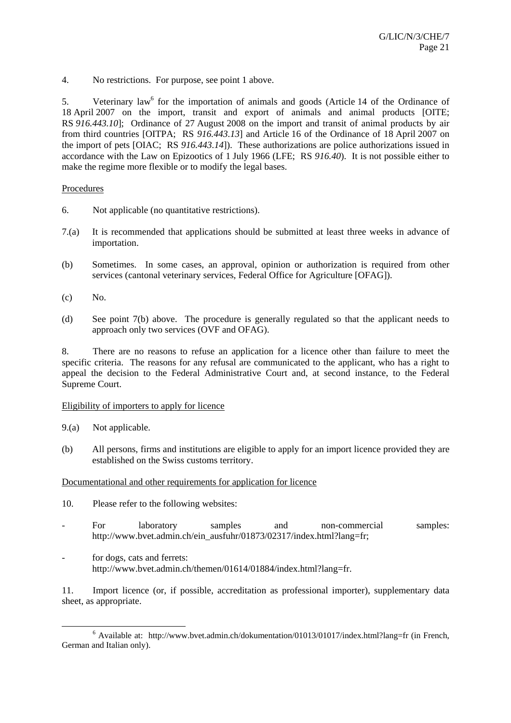4. No restrictions. For purpose, see point 1 above.

5. Veterinary law<sup>6</sup> for the importation of animals and goods (Article 14 of the Ordinance of 18 April 2007 on the import, transit and export of animals and animal products [OITE; RS *916.443.10*]; Ordinance of 27 August 2008 on the import and transit of animal products by air from third countries [OITPA; RS *916.443.13*] and Article 16 of the Ordinance of 18 April 2007 on the import of pets [OIAC; RS *916.443.14*]). These authorizations are police authorizations issued in accordance with the Law on Epizootics of 1 July 1966 (LFE; RS *916.40*). It is not possible either to make the regime more flexible or to modify the legal bases.

# Procedures

- 6. Not applicable (no quantitative restrictions).
- 7.(a) It is recommended that applications should be submitted at least three weeks in advance of importation.
- (b) Sometimes. In some cases, an approval, opinion or authorization is required from other services (cantonal veterinary services, Federal Office for Agriculture [OFAG]).
- $(c)$  No.
- (d) See point 7(b) above. The procedure is generally regulated so that the applicant needs to approach only two services (OVF and OFAG).

8. There are no reasons to refuse an application for a licence other than failure to meet the specific criteria. The reasons for any refusal are communicated to the applicant, who has a right to appeal the decision to the Federal Administrative Court and, at second instance, to the Federal Supreme Court.

# Eligibility of importers to apply for licence

- 9.(a) Not applicable.
- (b) All persons, firms and institutions are eligible to apply for an import licence provided they are established on the Swiss customs territory.

# Documentational and other requirements for application for licence

- 10. Please refer to the following websites:
- For laboratory samples and non-commercial samples: http://www.bvet.admin.ch/ein\_ausfuhr/01873/02317/index.html?lang=fr;
- for dogs, cats and ferrets: http://www.bvet.admin.ch/themen/01614/01884/index.html?lang=fr.

11. Import licence (or, if possible, accreditation as professional importer), supplementary data sheet, as appropriate.

 $\overline{6}$  $6$  Available at: http://www.bvet.admin.ch/dokumentation/01013/01017/index.html?lang=fr (in French, German and Italian only).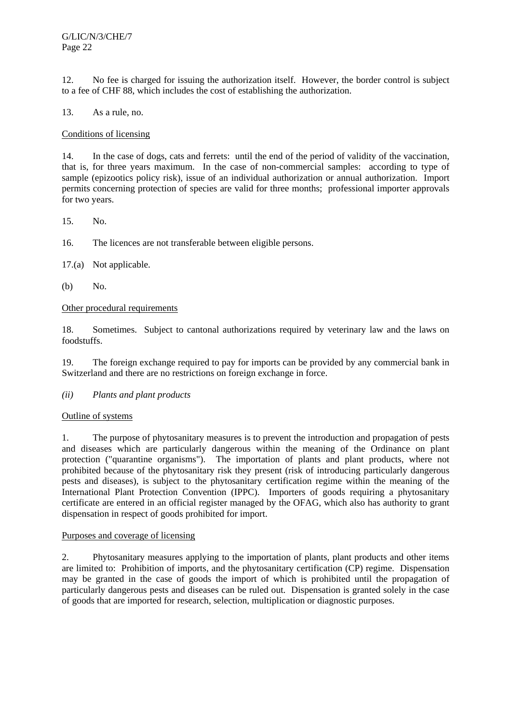12. No fee is charged for issuing the authorization itself. However, the border control is subject to a fee of CHF 88, which includes the cost of establishing the authorization.

13. As a rule, no.

# Conditions of licensing

14. In the case of dogs, cats and ferrets: until the end of the period of validity of the vaccination, that is, for three years maximum. In the case of non-commercial samples: according to type of sample (epizootics policy risk), issue of an individual authorization or annual authorization. Import permits concerning protection of species are valid for three months; professional importer approvals for two years.

15. No.

16. The licences are not transferable between eligible persons.

17.(a) Not applicable.

(b) No.

# Other procedural requirements

18. Sometimes. Subject to cantonal authorizations required by veterinary law and the laws on foodstuffs.

19. The foreign exchange required to pay for imports can be provided by any commercial bank in Switzerland and there are no restrictions on foreign exchange in force.

# *(ii) Plants and plant products*

# Outline of systems

1. The purpose of phytosanitary measures is to prevent the introduction and propagation of pests and diseases which are particularly dangerous within the meaning of the Ordinance on plant protection ("quarantine organisms"). The importation of plants and plant products, where not prohibited because of the phytosanitary risk they present (risk of introducing particularly dangerous pests and diseases), is subject to the phytosanitary certification regime within the meaning of the International Plant Protection Convention (IPPC). Importers of goods requiring a phytosanitary certificate are entered in an official register managed by the OFAG, which also has authority to grant dispensation in respect of goods prohibited for import.

# Purposes and coverage of licensing

2. Phytosanitary measures applying to the importation of plants, plant products and other items are limited to: Prohibition of imports, and the phytosanitary certification (CP) regime. Dispensation may be granted in the case of goods the import of which is prohibited until the propagation of particularly dangerous pests and diseases can be ruled out. Dispensation is granted solely in the case of goods that are imported for research, selection, multiplication or diagnostic purposes.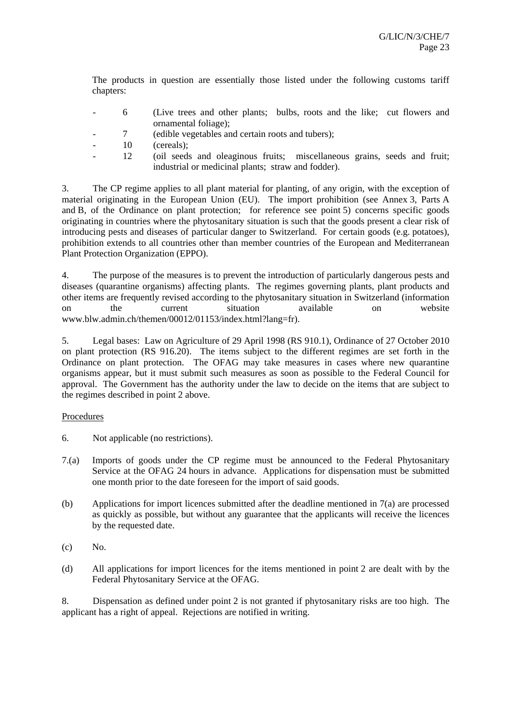The products in question are essentially those listed under the following customs tariff chapters:

- 6 (Live trees and other plants; bulbs, roots and the like; cut flowers and ornamental foliage);
- 7 (edible vegetables and certain roots and tubers);
- 10 (cereals);
- 12 (oil seeds and oleaginous fruits; miscellaneous grains, seeds and fruit; industrial or medicinal plants; straw and fodder).

3. The CP regime applies to all plant material for planting, of any origin, with the exception of material originating in the European Union (EU). The import prohibition (see Annex 3, Parts A and B, of the Ordinance on plant protection; for reference see point 5) concerns specific goods originating in countries where the phytosanitary situation is such that the goods present a clear risk of introducing pests and diseases of particular danger to Switzerland. For certain goods (e.g. potatoes), prohibition extends to all countries other than member countries of the European and Mediterranean Plant Protection Organization (EPPO).

4. The purpose of the measures is to prevent the introduction of particularly dangerous pests and diseases (quarantine organisms) affecting plants. The regimes governing plants, plant products and other items are frequently revised according to the phytosanitary situation in Switzerland (information on the current situation available on website www.blw.admin.ch/themen/00012/01153/index.html?lang=fr).

5. Legal bases: Law on Agriculture of 29 April 1998 (RS 910.1), Ordinance of 27 October 2010 on plant protection (RS 916.20). The items subject to the different regimes are set forth in the Ordinance on plant protection. The OFAG may take measures in cases where new quarantine organisms appear, but it must submit such measures as soon as possible to the Federal Council for approval. The Government has the authority under the law to decide on the items that are subject to the regimes described in point 2 above.

# Procedures

- 6. Not applicable (no restrictions).
- 7.(a) Imports of goods under the CP regime must be announced to the Federal Phytosanitary Service at the OFAG 24 hours in advance. Applications for dispensation must be submitted one month prior to the date foreseen for the import of said goods.
- (b) Applications for import licences submitted after the deadline mentioned in 7(a) are processed as quickly as possible, but without any guarantee that the applicants will receive the licences by the requested date.
- $(c)$  No.
- (d) All applications for import licences for the items mentioned in point 2 are dealt with by the Federal Phytosanitary Service at the OFAG.

8. Dispensation as defined under point 2 is not granted if phytosanitary risks are too high. The applicant has a right of appeal. Rejections are notified in writing.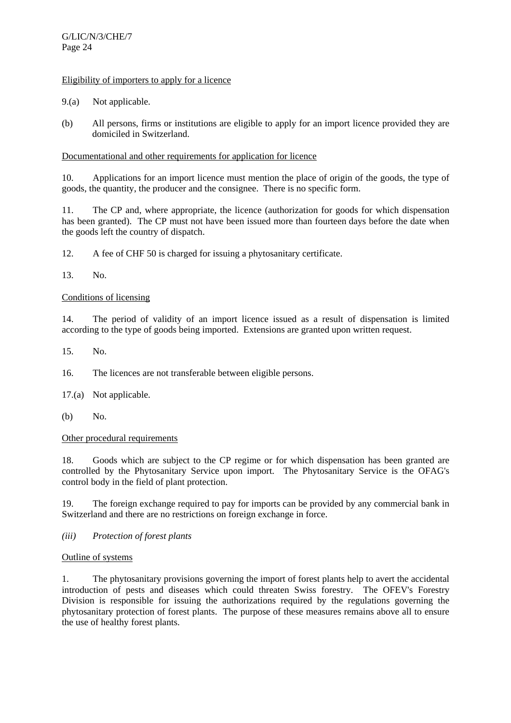# Eligibility of importers to apply for a licence

- 9.(a) Not applicable.
- (b) All persons, firms or institutions are eligible to apply for an import licence provided they are domiciled in Switzerland.

# Documentational and other requirements for application for licence

10. Applications for an import licence must mention the place of origin of the goods, the type of goods, the quantity, the producer and the consignee. There is no specific form.

11. The CP and, where appropriate, the licence (authorization for goods for which dispensation has been granted). The CP must not have been issued more than fourteen days before the date when the goods left the country of dispatch.

12. A fee of CHF 50 is charged for issuing a phytosanitary certificate.

13. No.

# Conditions of licensing

14. The period of validity of an import licence issued as a result of dispensation is limited according to the type of goods being imported. Extensions are granted upon written request.

15. No.

16. The licences are not transferable between eligible persons.

17.(a) Not applicable.

(b) No.

# Other procedural requirements

18. Goods which are subject to the CP regime or for which dispensation has been granted are controlled by the Phytosanitary Service upon import. The Phytosanitary Service is the OFAG's control body in the field of plant protection.

19. The foreign exchange required to pay for imports can be provided by any commercial bank in Switzerland and there are no restrictions on foreign exchange in force.

# *(iii) Protection of forest plants*

# Outline of systems

1. The phytosanitary provisions governing the import of forest plants help to avert the accidental introduction of pests and diseases which could threaten Swiss forestry. The OFEV's Forestry Division is responsible for issuing the authorizations required by the regulations governing the phytosanitary protection of forest plants. The purpose of these measures remains above all to ensure the use of healthy forest plants.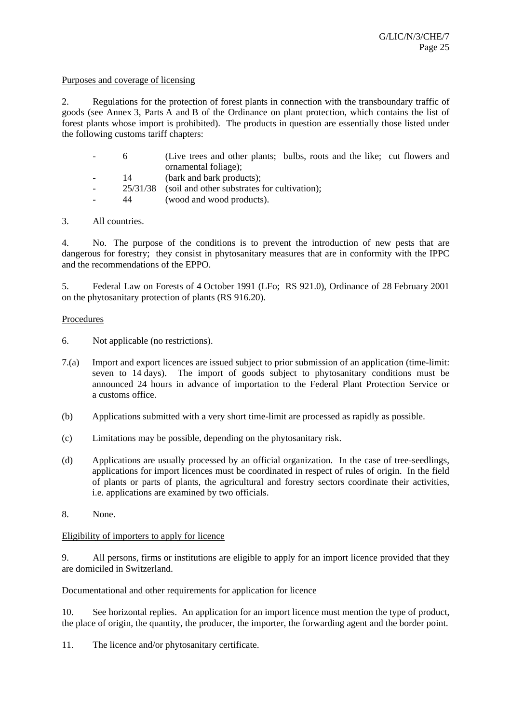## Purposes and coverage of licensing

2. Regulations for the protection of forest plants in connection with the transboundary traffic of goods (see Annex 3, Parts A and B of the Ordinance on plant protection, which contains the list of forest plants whose import is prohibited). The products in question are essentially those listed under the following customs tariff chapters:

| (Live trees and other plants; bulbs, roots and the like; cut flowers and |  |
|--------------------------------------------------------------------------|--|
| ornamental foliage);                                                     |  |
| (bark and bark products);                                                |  |

- 25/31/38 (soil and other substrates for cultivation);
- 44 (wood and wood products).

# 3. All countries.

4. No. The purpose of the conditions is to prevent the introduction of new pests that are dangerous for forestry; they consist in phytosanitary measures that are in conformity with the IPPC and the recommendations of the EPPO.

5. Federal Law on Forests of 4 October 1991 (LFo; RS 921.0), Ordinance of 28 February 2001 on the phytosanitary protection of plants (RS 916.20).

# Procedures

- 6. Not applicable (no restrictions).
- 7.(a) Import and export licences are issued subject to prior submission of an application (time-limit: seven to 14 days). The import of goods subject to phytosanitary conditions must be announced 24 hours in advance of importation to the Federal Plant Protection Service or a customs office.
- (b) Applications submitted with a very short time-limit are processed as rapidly as possible.
- (c) Limitations may be possible, depending on the phytosanitary risk.
- (d) Applications are usually processed by an official organization. In the case of tree-seedlings, applications for import licences must be coordinated in respect of rules of origin. In the field of plants or parts of plants, the agricultural and forestry sectors coordinate their activities, i.e. applications are examined by two officials.
- 8. None.

# Eligibility of importers to apply for licence

9. All persons, firms or institutions are eligible to apply for an import licence provided that they are domiciled in Switzerland.

# Documentational and other requirements for application for licence

10. See horizontal replies. An application for an import licence must mention the type of product, the place of origin, the quantity, the producer, the importer, the forwarding agent and the border point.

11. The licence and/or phytosanitary certificate.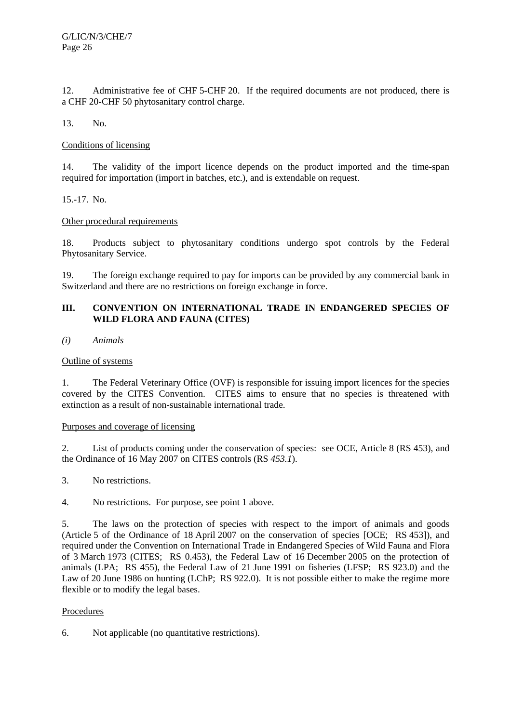12. Administrative fee of CHF 5-CHF 20. If the required documents are not produced, there is a CHF 20-CHF 50 phytosanitary control charge.

13. No.

# Conditions of licensing

14. The validity of the import licence depends on the product imported and the time-span required for importation (import in batches, etc.), and is extendable on request.

15.-17. No.

# Other procedural requirements

18. Products subject to phytosanitary conditions undergo spot controls by the Federal Phytosanitary Service.

19. The foreign exchange required to pay for imports can be provided by any commercial bank in Switzerland and there are no restrictions on foreign exchange in force.

# **III. CONVENTION ON INTERNATIONAL TRADE IN ENDANGERED SPECIES OF WILD FLORA AND FAUNA (CITES)**

# *(i) Animals*

# Outline of systems

1. The Federal Veterinary Office (OVF) is responsible for issuing import licences for the species covered by the CITES Convention. CITES aims to ensure that no species is threatened with extinction as a result of non-sustainable international trade.

# Purposes and coverage of licensing

2. List of products coming under the conservation of species: see OCE, Article 8 (RS 453), and the Ordinance of 16 May 2007 on CITES controls (RS *453.1*).

3. No restrictions.

4. No restrictions. For purpose, see point 1 above.

5. The laws on the protection of species with respect to the import of animals and goods (Article 5 of the Ordinance of 18 April 2007 on the conservation of species [OCE; RS 453]), and required under the Convention on International Trade in Endangered Species of Wild Fauna and Flora of 3 March 1973 (CITES; RS 0.453), the Federal Law of 16 December 2005 on the protection of animals (LPA; RS 455), the Federal Law of 21 June 1991 on fisheries (LFSP; RS 923.0) and the Law of 20 June 1986 on hunting (LChP: RS 922.0). It is not possible either to make the regime more flexible or to modify the legal bases.

# Procedures

6. Not applicable (no quantitative restrictions).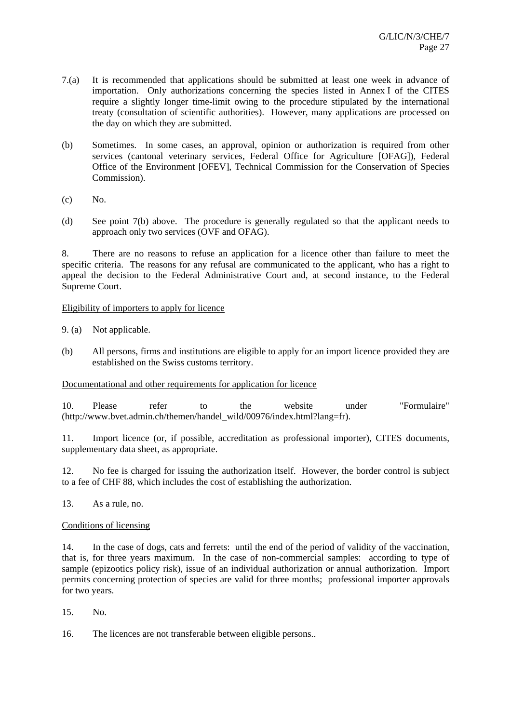- 7.(a) It is recommended that applications should be submitted at least one week in advance of importation. Only authorizations concerning the species listed in Annex I of the CITES require a slightly longer time-limit owing to the procedure stipulated by the international treaty (consultation of scientific authorities). However, many applications are processed on the day on which they are submitted.
- (b) Sometimes. In some cases, an approval, opinion or authorization is required from other services (cantonal veterinary services, Federal Office for Agriculture [OFAG]), Federal Office of the Environment [OFEV], Technical Commission for the Conservation of Species Commission).
- (c) No.
- (d) See point 7(b) above. The procedure is generally regulated so that the applicant needs to approach only two services (OVF and OFAG).

8. There are no reasons to refuse an application for a licence other than failure to meet the specific criteria. The reasons for any refusal are communicated to the applicant, who has a right to appeal the decision to the Federal Administrative Court and, at second instance, to the Federal Supreme Court.

# Eligibility of importers to apply for licence

9. (a) Not applicable.

(b) All persons, firms and institutions are eligible to apply for an import licence provided they are established on the Swiss customs territory.

Documentational and other requirements for application for licence

10. Please refer to the website under "Formulaire" (http://www.bvet.admin.ch/themen/handel\_wild/00976/index.html?lang=fr).

11. Import licence (or, if possible, accreditation as professional importer), CITES documents, supplementary data sheet, as appropriate.

12. No fee is charged for issuing the authorization itself. However, the border control is subject to a fee of CHF 88, which includes the cost of establishing the authorization.

13. As a rule, no.

# Conditions of licensing

14. In the case of dogs, cats and ferrets: until the end of the period of validity of the vaccination, that is, for three years maximum. In the case of non-commercial samples: according to type of sample (epizootics policy risk), issue of an individual authorization or annual authorization. Import permits concerning protection of species are valid for three months; professional importer approvals for two years.

15. No.

16. The licences are not transferable between eligible persons..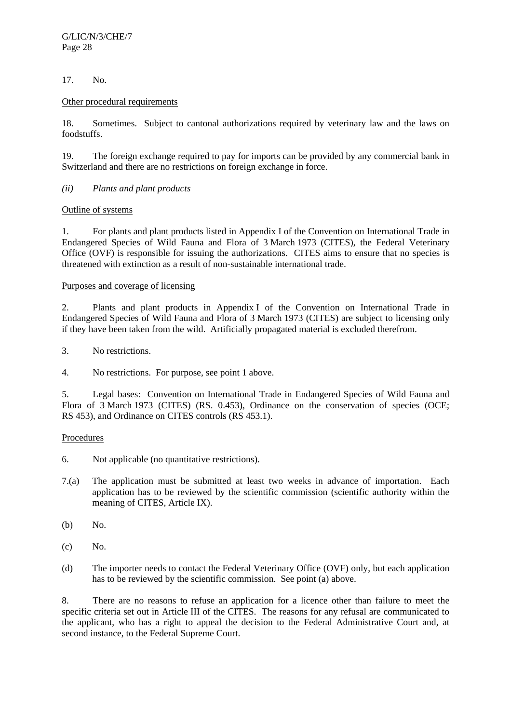# 17. No.

# Other procedural requirements

18. Sometimes. Subject to cantonal authorizations required by veterinary law and the laws on foodstuffs.

19. The foreign exchange required to pay for imports can be provided by any commercial bank in Switzerland and there are no restrictions on foreign exchange in force.

*(ii) Plants and plant products* 

# Outline of systems

1. For plants and plant products listed in Appendix I of the Convention on International Trade in Endangered Species of Wild Fauna and Flora of 3 March 1973 (CITES), the Federal Veterinary Office (OVF) is responsible for issuing the authorizations. CITES aims to ensure that no species is threatened with extinction as a result of non-sustainable international trade.

# Purposes and coverage of licensing

2. Plants and plant products in Appendix I of the Convention on International Trade in Endangered Species of Wild Fauna and Flora of 3 March 1973 (CITES) are subject to licensing only if they have been taken from the wild. Artificially propagated material is excluded therefrom.

3. No restrictions.

4. No restrictions. For purpose, see point 1 above.

5. Legal bases: Convention on International Trade in Endangered Species of Wild Fauna and Flora of 3 March 1973 (CITES) (RS. 0.453), Ordinance on the conservation of species (OCE; RS 453), and Ordinance on CITES controls (RS 453.1).

# Procedures

- 6. Not applicable (no quantitative restrictions).
- 7.(a) The application must be submitted at least two weeks in advance of importation. Each application has to be reviewed by the scientific commission (scientific authority within the meaning of CITES, Article IX).
- (b) No.
- (c) No.
- (d) The importer needs to contact the Federal Veterinary Office (OVF) only, but each application has to be reviewed by the scientific commission. See point (a) above.

8. There are no reasons to refuse an application for a licence other than failure to meet the specific criteria set out in Article III of the CITES. The reasons for any refusal are communicated to the applicant, who has a right to appeal the decision to the Federal Administrative Court and, at second instance, to the Federal Supreme Court.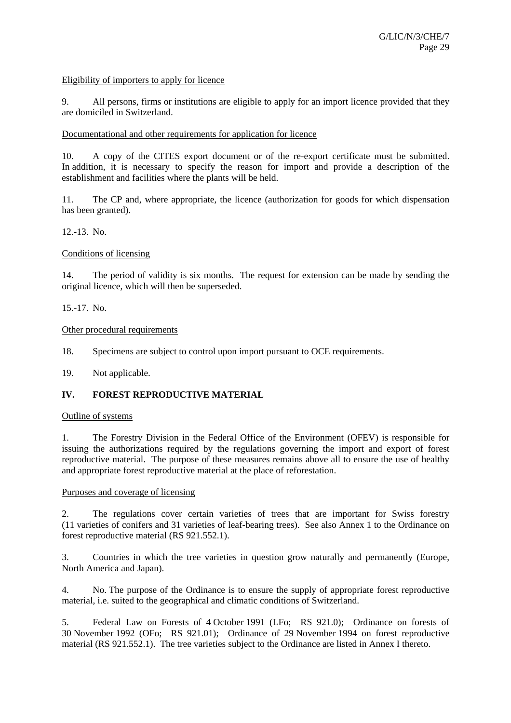# Eligibility of importers to apply for licence

9. All persons, firms or institutions are eligible to apply for an import licence provided that they are domiciled in Switzerland.

#### Documentational and other requirements for application for licence

10. A copy of the CITES export document or of the re-export certificate must be submitted. In addition, it is necessary to specify the reason for import and provide a description of the establishment and facilities where the plants will be held.

11. The CP and, where appropriate, the licence (authorization for goods for which dispensation has been granted).

12.-13. No.

#### Conditions of licensing

14. The period of validity is six months. The request for extension can be made by sending the original licence, which will then be superseded.

15.-17. No.

#### Other procedural requirements

18. Specimens are subject to control upon import pursuant to OCE requirements.

19. Not applicable.

# **IV. FOREST REPRODUCTIVE MATERIAL**

#### Outline of systems

1. The Forestry Division in the Federal Office of the Environment (OFEV) is responsible for issuing the authorizations required by the regulations governing the import and export of forest reproductive material. The purpose of these measures remains above all to ensure the use of healthy and appropriate forest reproductive material at the place of reforestation.

#### Purposes and coverage of licensing

2. The regulations cover certain varieties of trees that are important for Swiss forestry (11 varieties of conifers and 31 varieties of leaf-bearing trees). See also Annex 1 to the Ordinance on forest reproductive material (RS 921.552.1).

3. Countries in which the tree varieties in question grow naturally and permanently (Europe, North America and Japan).

4. No. The purpose of the Ordinance is to ensure the supply of appropriate forest reproductive material, i.e. suited to the geographical and climatic conditions of Switzerland.

5. Federal Law on Forests of 4 October 1991 (LFo; RS 921.0); Ordinance on forests of 30 November 1992 (OFo; RS 921.01); Ordinance of 29 November 1994 on forest reproductive material (RS 921.552.1). The tree varieties subject to the Ordinance are listed in Annex I thereto.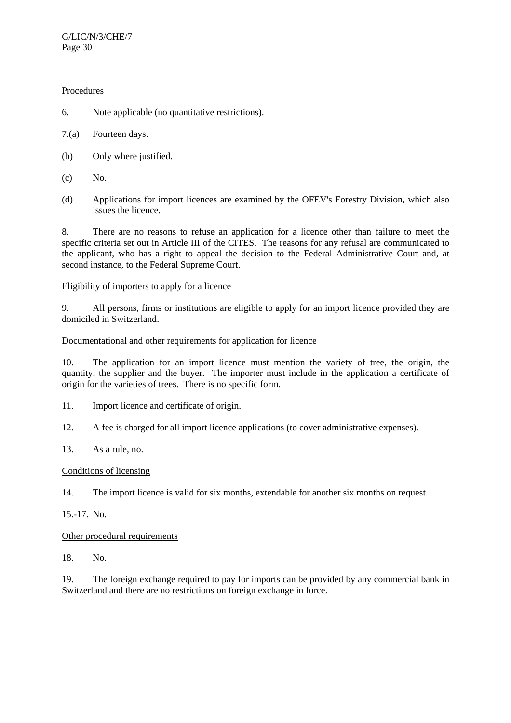# Procedures

- 6. Note applicable (no quantitative restrictions).
- 7.(a) Fourteen days.
- (b) Only where justified.
- $(c)$  No.
- (d) Applications for import licences are examined by the OFEV's Forestry Division, which also issues the licence.

8. There are no reasons to refuse an application for a licence other than failure to meet the specific criteria set out in Article III of the CITES. The reasons for any refusal are communicated to the applicant, who has a right to appeal the decision to the Federal Administrative Court and, at second instance, to the Federal Supreme Court.

# Eligibility of importers to apply for a licence

9. All persons, firms or institutions are eligible to apply for an import licence provided they are domiciled in Switzerland.

# Documentational and other requirements for application for licence

10. The application for an import licence must mention the variety of tree, the origin, the quantity, the supplier and the buyer. The importer must include in the application a certificate of origin for the varieties of trees. There is no specific form.

11. Import licence and certificate of origin.

12. A fee is charged for all import licence applications (to cover administrative expenses).

13. As a rule, no.

# Conditions of licensing

14. The import licence is valid for six months, extendable for another six months on request.

15.-17. No.

# Other procedural requirements

18. No.

19. The foreign exchange required to pay for imports can be provided by any commercial bank in Switzerland and there are no restrictions on foreign exchange in force.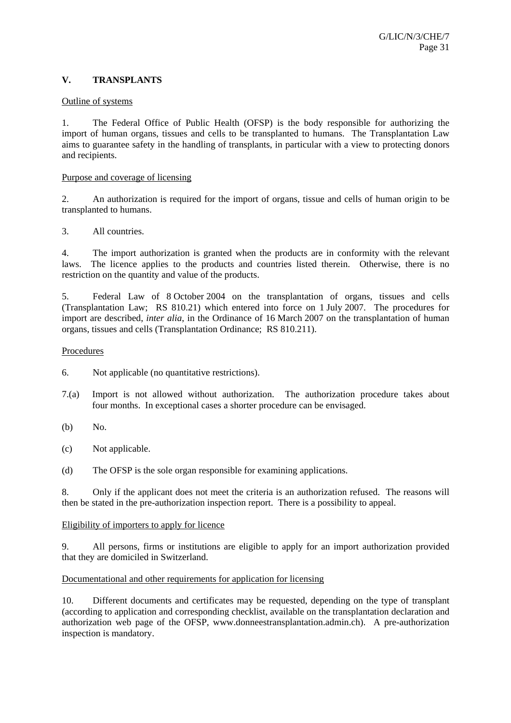# **V. TRANSPLANTS**

## Outline of systems

1. The Federal Office of Public Health (OFSP) is the body responsible for authorizing the import of human organs, tissues and cells to be transplanted to humans. The Transplantation Law aims to guarantee safety in the handling of transplants, in particular with a view to protecting donors and recipients.

## Purpose and coverage of licensing

2. An authorization is required for the import of organs, tissue and cells of human origin to be transplanted to humans.

# 3. All countries.

4. The import authorization is granted when the products are in conformity with the relevant laws. The licence applies to the products and countries listed therein. Otherwise, there is no restriction on the quantity and value of the products.

5. Federal Law of 8 October 2004 on the transplantation of organs, tissues and cells (Transplantation Law; RS 810.21) which entered into force on 1 July 2007. The procedures for import are described, *inter alia*, in the Ordinance of 16 March 2007 on the transplantation of human organs, tissues and cells (Transplantation Ordinance; RS 810.211).

#### Procedures

6. Not applicable (no quantitative restrictions).

- 7.(a) Import is not allowed without authorization. The authorization procedure takes about four months. In exceptional cases a shorter procedure can be envisaged.
- (b) No.
- (c) Not applicable.
- (d) The OFSP is the sole organ responsible for examining applications.

8. Only if the applicant does not meet the criteria is an authorization refused. The reasons will then be stated in the pre-authorization inspection report. There is a possibility to appeal.

# Eligibility of importers to apply for licence

9. All persons, firms or institutions are eligible to apply for an import authorization provided that they are domiciled in Switzerland.

# Documentational and other requirements for application for licensing

10. Different documents and certificates may be requested, depending on the type of transplant (according to application and corresponding checklist, available on the transplantation declaration and authorization web page of the OFSP, www.donneestransplantation.admin.ch). A pre-authorization inspection is mandatory.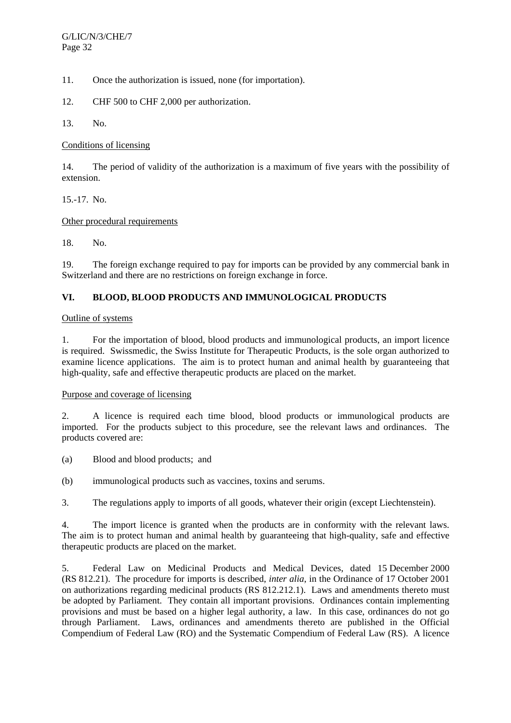11. Once the authorization is issued, none (for importation).

12. CHF 500 to CHF 2,000 per authorization.

13. No.

Conditions of licensing

14. The period of validity of the authorization is a maximum of five years with the possibility of extension.

15.-17. No.

# Other procedural requirements

18. No.

19. The foreign exchange required to pay for imports can be provided by any commercial bank in Switzerland and there are no restrictions on foreign exchange in force.

# **VI. BLOOD, BLOOD PRODUCTS AND IMMUNOLOGICAL PRODUCTS**

# Outline of systems

1. For the importation of blood, blood products and immunological products, an import licence is required. Swissmedic, the Swiss Institute for Therapeutic Products, is the sole organ authorized to examine licence applications. The aim is to protect human and animal health by guaranteeing that high-quality, safe and effective therapeutic products are placed on the market.

# Purpose and coverage of licensing

2. A licence is required each time blood, blood products or immunological products are imported. For the products subject to this procedure, see the relevant laws and ordinances. The products covered are:

(a) Blood and blood products; and

(b) immunological products such as vaccines, toxins and serums.

3. The regulations apply to imports of all goods, whatever their origin (except Liechtenstein).

4. The import licence is granted when the products are in conformity with the relevant laws. The aim is to protect human and animal health by guaranteeing that high-quality, safe and effective therapeutic products are placed on the market.

5. Federal Law on Medicinal Products and Medical Devices, dated 15 December 2000 (RS 812.21). The procedure for imports is described, *inter alia*, in the Ordinance of 17 October 2001 on authorizations regarding medicinal products (RS 812.212.1). Laws and amendments thereto must be adopted by Parliament. They contain all important provisions. Ordinances contain implementing provisions and must be based on a higher legal authority, a law. In this case, ordinances do not go through Parliament. Laws, ordinances and amendments thereto are published in the Official Compendium of Federal Law (RO) and the Systematic Compendium of Federal Law (RS). A licence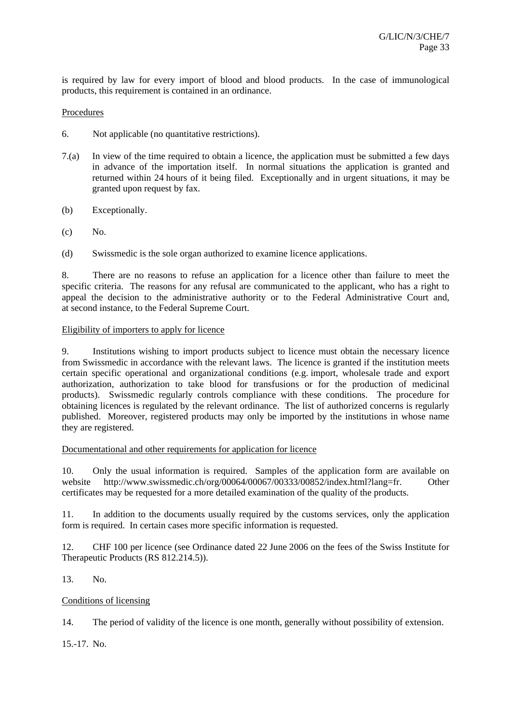is required by law for every import of blood and blood products. In the case of immunological products, this requirement is contained in an ordinance.

# Procedures

- 6. Not applicable (no quantitative restrictions).
- 7.(a) In view of the time required to obtain a licence, the application must be submitted a few days in advance of the importation itself. In normal situations the application is granted and returned within 24 hours of it being filed. Exceptionally and in urgent situations, it may be granted upon request by fax.
- (b) Exceptionally.
- $(c)$  No.
- (d) Swissmedic is the sole organ authorized to examine licence applications.

8. There are no reasons to refuse an application for a licence other than failure to meet the specific criteria. The reasons for any refusal are communicated to the applicant, who has a right to appeal the decision to the administrative authority or to the Federal Administrative Court and, at second instance, to the Federal Supreme Court.

# Eligibility of importers to apply for licence

9. Institutions wishing to import products subject to licence must obtain the necessary licence from Swissmedic in accordance with the relevant laws. The licence is granted if the institution meets certain specific operational and organizational conditions (e.g. import, wholesale trade and export authorization, authorization to take blood for transfusions or for the production of medicinal products). Swissmedic regularly controls compliance with these conditions. The procedure for obtaining licences is regulated by the relevant ordinance. The list of authorized concerns is regularly published. Moreover, registered products may only be imported by the institutions in whose name they are registered.

# Documentational and other requirements for application for licence

10. Only the usual information is required. Samples of the application form are available on website http://www.swissmedic.ch/org/00064/00067/00333/00852/index.html?lang=fr. Other certificates may be requested for a more detailed examination of the quality of the products.

11. In addition to the documents usually required by the customs services, only the application form is required. In certain cases more specific information is requested.

12. CHF 100 per licence (see Ordinance dated 22 June 2006 on the fees of the Swiss Institute for Therapeutic Products (RS 812.214.5)).

13. No.

# Conditions of licensing

14. The period of validity of the licence is one month, generally without possibility of extension.

15.-17. No.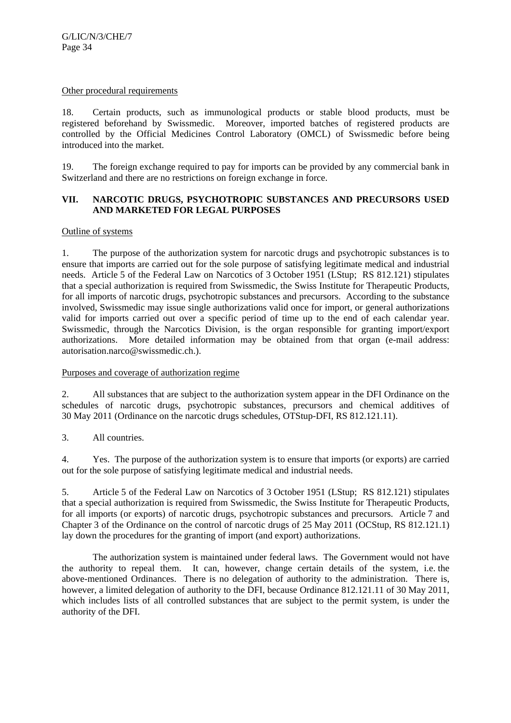#### Other procedural requirements

18. Certain products, such as immunological products or stable blood products, must be registered beforehand by Swissmedic. Moreover, imported batches of registered products are controlled by the Official Medicines Control Laboratory (OMCL) of Swissmedic before being introduced into the market.

19. The foreign exchange required to pay for imports can be provided by any commercial bank in Switzerland and there are no restrictions on foreign exchange in force.

# **VII. NARCOTIC DRUGS, PSYCHOTROPIC SUBSTANCES AND PRECURSORS USED AND MARKETED FOR LEGAL PURPOSES**

# Outline of systems

1. The purpose of the authorization system for narcotic drugs and psychotropic substances is to ensure that imports are carried out for the sole purpose of satisfying legitimate medical and industrial needs. Article 5 of the Federal Law on Narcotics of 3 October 1951 (LStup; RS 812.121) stipulates that a special authorization is required from Swissmedic, the Swiss Institute for Therapeutic Products, for all imports of narcotic drugs, psychotropic substances and precursors. According to the substance involved, Swissmedic may issue single authorizations valid once for import, or general authorizations valid for imports carried out over a specific period of time up to the end of each calendar year. Swissmedic, through the Narcotics Division, is the organ responsible for granting import/export authorizations. More detailed information may be obtained from that organ (e-mail address: autorisation.narco@swissmedic.ch.).

# Purposes and coverage of authorization regime

2. All substances that are subject to the authorization system appear in the DFI Ordinance on the schedules of narcotic drugs, psychotropic substances, precursors and chemical additives of 30 May 2011 (Ordinance on the narcotic drugs schedules, OTStup-DFI, RS 812.121.11).

3. All countries.

4. Yes. The purpose of the authorization system is to ensure that imports (or exports) are carried out for the sole purpose of satisfying legitimate medical and industrial needs.

5. Article 5 of the Federal Law on Narcotics of 3 October 1951 (LStup; RS 812.121) stipulates that a special authorization is required from Swissmedic, the Swiss Institute for Therapeutic Products, for all imports (or exports) of narcotic drugs, psychotropic substances and precursors. Article 7 and Chapter 3 of the Ordinance on the control of narcotic drugs of 25 May 2011 (OCStup, RS 812.121.1) lay down the procedures for the granting of import (and export) authorizations.

 The authorization system is maintained under federal laws. The Government would not have the authority to repeal them. It can, however, change certain details of the system, i.e. the above-mentioned Ordinances. There is no delegation of authority to the administration. There is, however, a limited delegation of authority to the DFI, because Ordinance 812.121.11 of 30 May 2011, which includes lists of all controlled substances that are subject to the permit system, is under the authority of the DFI.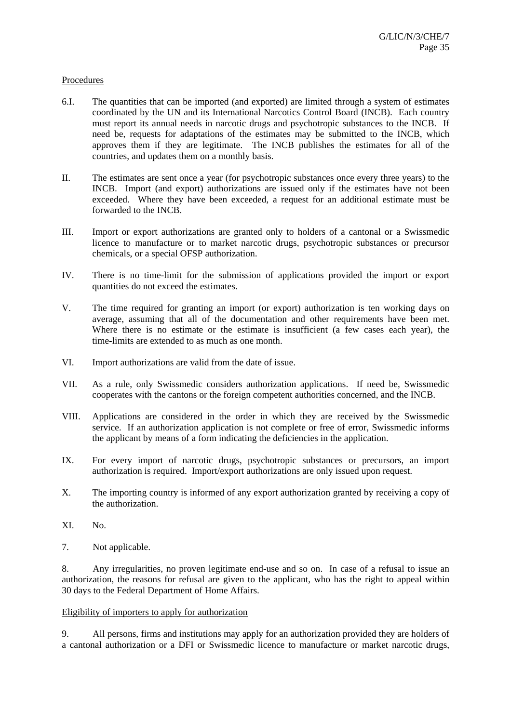## **Procedures**

- 6.I. The quantities that can be imported (and exported) are limited through a system of estimates coordinated by the UN and its International Narcotics Control Board (INCB). Each country must report its annual needs in narcotic drugs and psychotropic substances to the INCB. If need be, requests for adaptations of the estimates may be submitted to the INCB, which approves them if they are legitimate. The INCB publishes the estimates for all of the countries, and updates them on a monthly basis.
- II. The estimates are sent once a year (for psychotropic substances once every three years) to the INCB. Import (and export) authorizations are issued only if the estimates have not been exceeded. Where they have been exceeded, a request for an additional estimate must be forwarded to the INCB.
- III. Import or export authorizations are granted only to holders of a cantonal or a Swissmedic licence to manufacture or to market narcotic drugs, psychotropic substances or precursor chemicals, or a special OFSP authorization.
- IV. There is no time-limit for the submission of applications provided the import or export quantities do not exceed the estimates.
- V. The time required for granting an import (or export) authorization is ten working days on average, assuming that all of the documentation and other requirements have been met. Where there is no estimate or the estimate is insufficient (a few cases each year), the time-limits are extended to as much as one month.
- VI. Import authorizations are valid from the date of issue.
- VII. As a rule, only Swissmedic considers authorization applications. If need be, Swissmedic cooperates with the cantons or the foreign competent authorities concerned, and the INCB.
- VIII. Applications are considered in the order in which they are received by the Swissmedic service. If an authorization application is not complete or free of error, Swissmedic informs the applicant by means of a form indicating the deficiencies in the application.
- IX. For every import of narcotic drugs, psychotropic substances or precursors, an import authorization is required. Import/export authorizations are only issued upon request.
- X. The importing country is informed of any export authorization granted by receiving a copy of the authorization.
- XI. No.
- 7. Not applicable.

8. Any irregularities, no proven legitimate end-use and so on. In case of a refusal to issue an authorization, the reasons for refusal are given to the applicant, who has the right to appeal within 30 days to the Federal Department of Home Affairs.

#### Eligibility of importers to apply for authorization

9. All persons, firms and institutions may apply for an authorization provided they are holders of a cantonal authorization or a DFI or Swissmedic licence to manufacture or market narcotic drugs,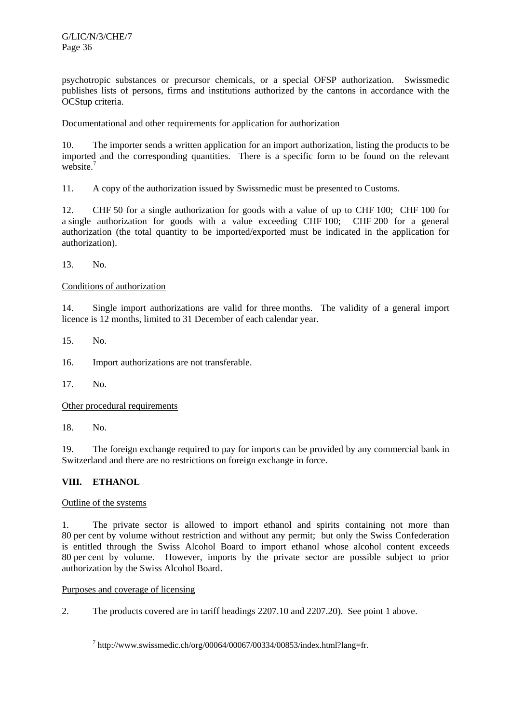psychotropic substances or precursor chemicals, or a special OFSP authorization. Swissmedic publishes lists of persons, firms and institutions authorized by the cantons in accordance with the OCStup criteria.

# Documentational and other requirements for application for authorization

10. The importer sends a written application for an import authorization, listing the products to be imported and the corresponding quantities. There is a specific form to be found on the relevant website.<sup>7</sup>

11. A copy of the authorization issued by Swissmedic must be presented to Customs.

12. CHF 50 for a single authorization for goods with a value of up to CHF 100; CHF 100 for a single authorization for goods with a value exceeding CHF 100; CHF 200 for a general authorization (the total quantity to be imported/exported must be indicated in the application for authorization).

13. No.

# Conditions of authorization

14. Single import authorizations are valid for three months. The validity of a general import licence is 12 months, limited to 31 December of each calendar year.

15. No.

16. Import authorizations are not transferable.

17. No.

Other procedural requirements

18. No.

19. The foreign exchange required to pay for imports can be provided by any commercial bank in Switzerland and there are no restrictions on foreign exchange in force.

# **VIII. ETHANOL**

# Outline of the systems

1. The private sector is allowed to import ethanol and spirits containing not more than 80 per cent by volume without restriction and without any permit; but only the Swiss Confederation is entitled through the Swiss Alcohol Board to import ethanol whose alcohol content exceeds 80 per cent by volume. However, imports by the private sector are possible subject to prior authorization by the Swiss Alcohol Board.

# Purposes and coverage of licensing

2. The products covered are in tariff headings 2207.10 and 2207.20). See point 1 above.

 $\overline{\phantom{a}}$  $\frac{7}{1}$  http://www.swissmedic.ch/org/00064/00067/00334/00853/index.html?lang=fr.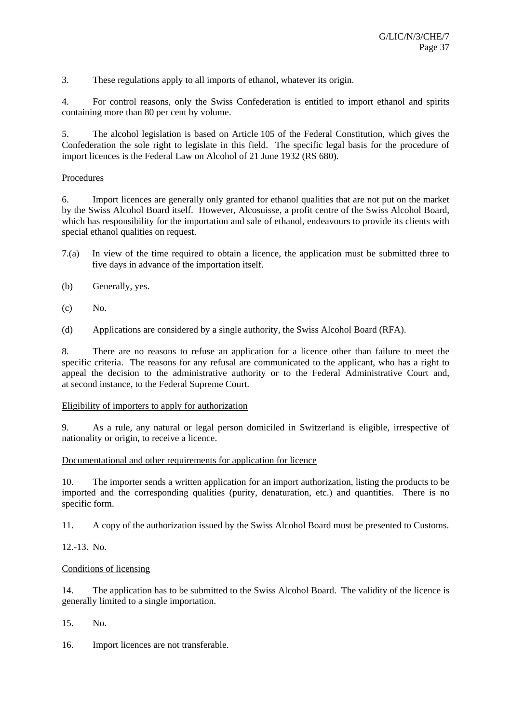3. These regulations apply to all imports of ethanol, whatever its origin.

4. For control reasons, only the Swiss Confederation is entitled to import ethanol and spirits containing more than 80 per cent by volume.

5. The alcohol legislation is based on Article 105 of the Federal Constitution, which gives the Confederation the sole right to legislate in this field. The specific legal basis for the procedure of import licences is the Federal Law on Alcohol of 21 June 1932 (RS 680).

# Procedures

6. Import licences are generally only granted for ethanol qualities that are not put on the market by the Swiss Alcohol Board itself. However, Alcosuisse, a profit centre of the Swiss Alcohol Board, which has responsibility for the importation and sale of ethanol, endeavours to provide its clients with special ethanol qualities on request.

- 7.(a) In view of the time required to obtain a licence, the application must be submitted three to five days in advance of the importation itself.
- (b) Generally, yes.
- $(c)$  No.

(d) Applications are considered by a single authority, the Swiss Alcohol Board (RFA).

8. There are no reasons to refuse an application for a licence other than failure to meet the specific criteria. The reasons for any refusal are communicated to the applicant, who has a right to appeal the decision to the administrative authority or to the Federal Administrative Court and, at second instance, to the Federal Supreme Court.

# Eligibility of importers to apply for authorization

9. As a rule, any natural or legal person domiciled in Switzerland is eligible, irrespective of nationality or origin, to receive a licence.

# Documentational and other requirements for application for licence

10. The importer sends a written application for an import authorization, listing the products to be imported and the corresponding qualities (purity, denaturation, etc.) and quantities. There is no specific form.

11. A copy of the authorization issued by the Swiss Alcohol Board must be presented to Customs.

12.-13. No.

# Conditions of licensing

14. The application has to be submitted to the Swiss Alcohol Board. The validity of the licence is generally limited to a single importation.

15. No.

16. Import licences are not transferable.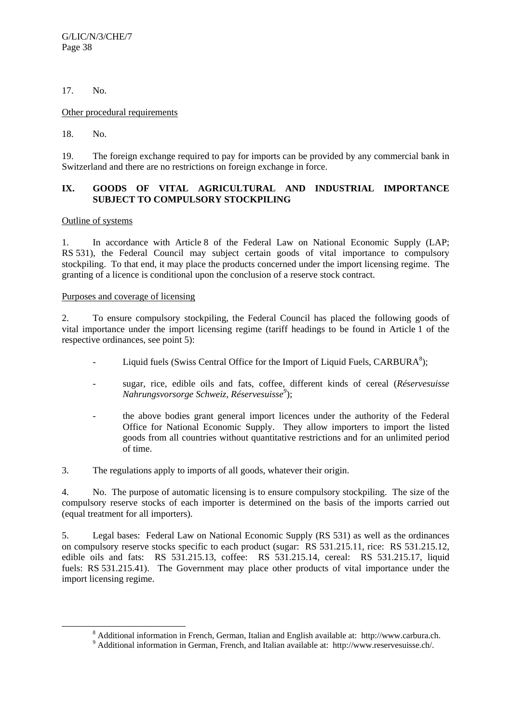# 17. No.

# Other procedural requirements

18. No.

19. The foreign exchange required to pay for imports can be provided by any commercial bank in Switzerland and there are no restrictions on foreign exchange in force.

# **IX. GOODS OF VITAL AGRICULTURAL AND INDUSTRIAL IMPORTANCE SUBJECT TO COMPULSORY STOCKPILING**

# Outline of systems

1. In accordance with Article 8 of the Federal Law on National Economic Supply (LAP; RS 531), the Federal Council may subject certain goods of vital importance to compulsory stockpiling. To that end, it may place the products concerned under the import licensing regime. The granting of a licence is conditional upon the conclusion of a reserve stock contract.

# Purposes and coverage of licensing

2. To ensure compulsory stockpiling, the Federal Council has placed the following goods of vital importance under the import licensing regime (tariff headings to be found in Article 1 of the respective ordinances, see point 5):

- Liquid fuels (Swiss Central Office for the Import of Liquid Fuels,  $CARBURA<sup>8</sup>$ );
	- sugar, rice, edible oils and fats, coffee, different kinds of cereal (*Réservesuisse Nahrungsvorsorge Schweiz, Réservesuisse<sup>9</sup>* );
	- the above bodies grant general import licences under the authority of the Federal Office for National Economic Supply. They allow importers to import the listed goods from all countries without quantitative restrictions and for an unlimited period of time.

3. The regulations apply to imports of all goods, whatever their origin.

4. No. The purpose of automatic licensing is to ensure compulsory stockpiling. The size of the compulsory reserve stocks of each importer is determined on the basis of the imports carried out (equal treatment for all importers).

5. Legal bases: Federal Law on National Economic Supply (RS 531) as well as the ordinances on compulsory reserve stocks specific to each product (sugar: RS 531.215.11, rice: RS 531.215.12, edible oils and fats: RS 531.215.13, coffee: RS 531.215.14, cereal: RS 531.215.17, liquid fuels: RS 531.215.41). The Government may place other products of vital importance under the import licensing regime.

 <sup>8</sup> Additional information in French, German, Italian and English available at: http://www.carbura.ch. 9

<sup>&</sup>lt;sup>9</sup> Additional information in German, French, and Italian available at: http://www.reservesuisse.ch/.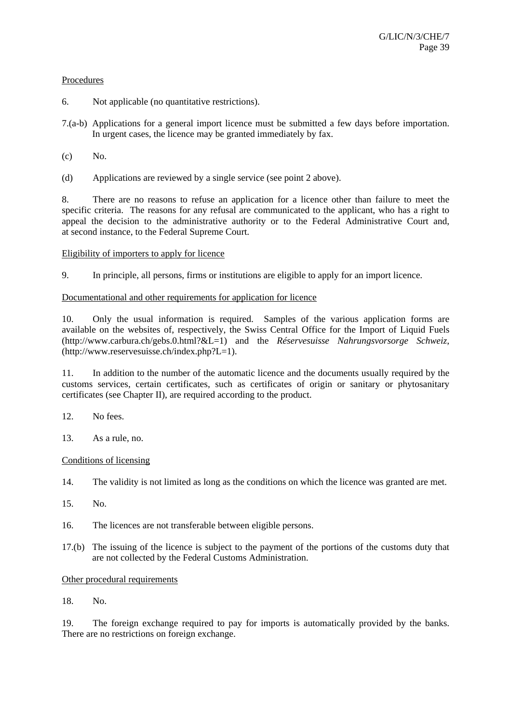# **Procedures**

- 6. Not applicable (no quantitative restrictions).
- 7.(a-b) Applications for a general import licence must be submitted a few days before importation. In urgent cases, the licence may be granted immediately by fax.
- $(c)$  No.
- (d) Applications are reviewed by a single service (see point 2 above).

8. There are no reasons to refuse an application for a licence other than failure to meet the specific criteria. The reasons for any refusal are communicated to the applicant, who has a right to appeal the decision to the administrative authority or to the Federal Administrative Court and, at second instance, to the Federal Supreme Court.

# Eligibility of importers to apply for licence

9. In principle, all persons, firms or institutions are eligible to apply for an import licence.

# Documentational and other requirements for application for licence

10. Only the usual information is required. Samples of the various application forms are available on the websites of, respectively, the Swiss Central Office for the Import of Liquid Fuels (http://www.carbura.ch/gebs.0.html?&L=1) and the *Réservesuisse Nahrungsvorsorge Schweiz*, (http://www.reservesuisse.ch/index.php?L=1).

11. In addition to the number of the automatic licence and the documents usually required by the customs services, certain certificates, such as certificates of origin or sanitary or phytosanitary certificates (see Chapter II), are required according to the product.

- 12. No fees.
- 13. As a rule, no.

# Conditions of licensing

- 14. The validity is not limited as long as the conditions on which the licence was granted are met.
- 15. No.
- 16. The licences are not transferable between eligible persons.
- 17.(b) The issuing of the licence is subject to the payment of the portions of the customs duty that are not collected by the Federal Customs Administration.

# Other procedural requirements

18. No.

19. The foreign exchange required to pay for imports is automatically provided by the banks. There are no restrictions on foreign exchange.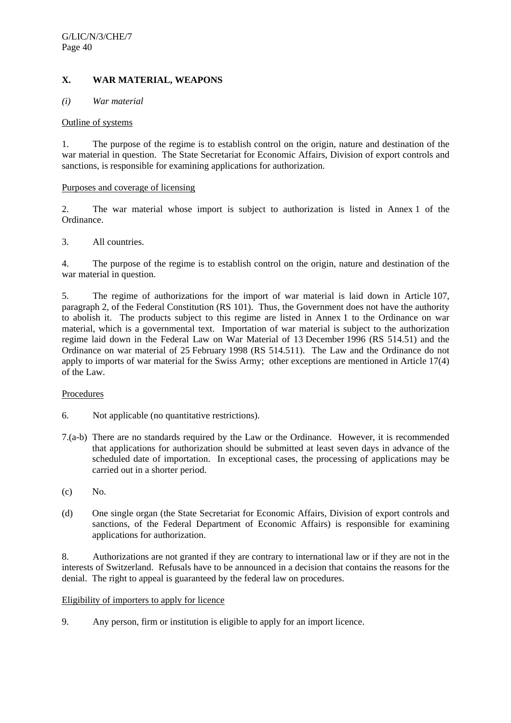# **X. WAR MATERIAL, WEAPONS**

#### *(i) War material*

#### Outline of systems

1. The purpose of the regime is to establish control on the origin, nature and destination of the war material in question. The State Secretariat for Economic Affairs, Division of export controls and sanctions, is responsible for examining applications for authorization.

#### Purposes and coverage of licensing

2. The war material whose import is subject to authorization is listed in Annex 1 of the Ordinance.

# 3. All countries.

4. The purpose of the regime is to establish control on the origin, nature and destination of the war material in question.

5. The regime of authorizations for the import of war material is laid down in Article 107, paragraph 2, of the Federal Constitution (RS 101). Thus, the Government does not have the authority to abolish it. The products subject to this regime are listed in Annex 1 to the Ordinance on war material, which is a governmental text. Importation of war material is subject to the authorization regime laid down in the Federal Law on War Material of 13 December 1996 (RS 514.51) and the Ordinance on war material of 25 February 1998 (RS 514.511). The Law and the Ordinance do not apply to imports of war material for the Swiss Army; other exceptions are mentioned in Article 17(4) of the Law.

# Procedures

- 6. Not applicable (no quantitative restrictions).
- 7.(a-b) There are no standards required by the Law or the Ordinance. However, it is recommended that applications for authorization should be submitted at least seven days in advance of the scheduled date of importation. In exceptional cases, the processing of applications may be carried out in a shorter period.
- (c) No.
- (d) One single organ (the State Secretariat for Economic Affairs, Division of export controls and sanctions, of the Federal Department of Economic Affairs) is responsible for examining applications for authorization.

8. Authorizations are not granted if they are contrary to international law or if they are not in the interests of Switzerland. Refusals have to be announced in a decision that contains the reasons for the denial. The right to appeal is guaranteed by the federal law on procedures.

#### Eligibility of importers to apply for licence

9. Any person, firm or institution is eligible to apply for an import licence.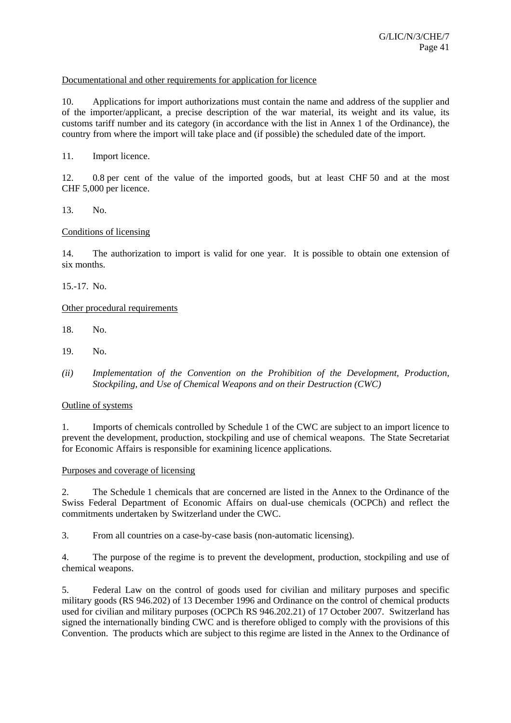# Documentational and other requirements for application for licence

10. Applications for import authorizations must contain the name and address of the supplier and of the importer/applicant, a precise description of the war material, its weight and its value, its customs tariff number and its category (in accordance with the list in Annex 1 of the Ordinance), the country from where the import will take place and (if possible) the scheduled date of the import.

11. Import licence.

12. 0.8 per cent of the value of the imported goods, but at least CHF 50 and at the most CHF 5,000 per licence.

13. No.

## Conditions of licensing

14. The authorization to import is valid for one year. It is possible to obtain one extension of six months.

15.-17. No.

#### Other procedural requirements

- 18. No.
- 19. No.
- *(ii) Implementation of the Convention on the Prohibition of the Development, Production, Stockpiling, and Use of Chemical Weapons and on their Destruction (CWC)*

#### Outline of systems

1. Imports of chemicals controlled by Schedule 1 of the CWC are subject to an import licence to prevent the development, production, stockpiling and use of chemical weapons. The State Secretariat for Economic Affairs is responsible for examining licence applications.

# Purposes and coverage of licensing

2. The Schedule 1 chemicals that are concerned are listed in the Annex to the Ordinance of the Swiss Federal Department of Economic Affairs on dual-use chemicals (OCPCh) and reflect the commitments undertaken by Switzerland under the CWC.

3. From all countries on a case-by-case basis (non-automatic licensing).

4. The purpose of the regime is to prevent the development, production, stockpiling and use of chemical weapons.

5. Federal Law on the control of goods used for civilian and military purposes and specific military goods (RS 946.202) of 13 December 1996 and Ordinance on the control of chemical products used for civilian and military purposes (OCPCh RS 946.202.21) of 17 October 2007. Switzerland has signed the internationally binding CWC and is therefore obliged to comply with the provisions of this Convention. The products which are subject to this regime are listed in the Annex to the Ordinance of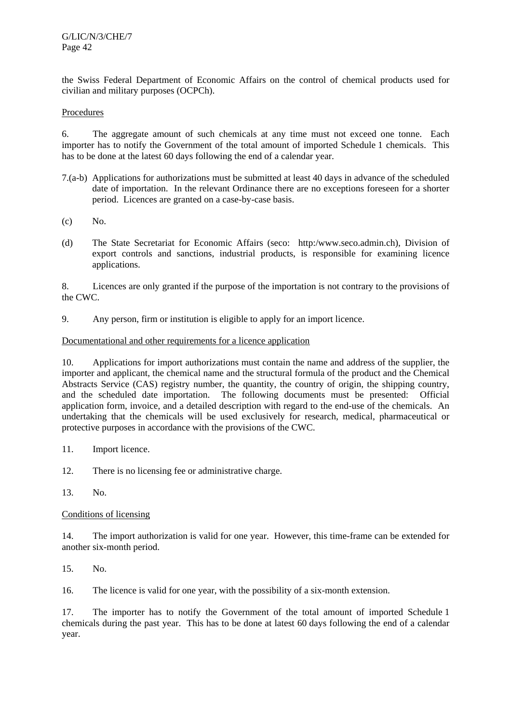the Swiss Federal Department of Economic Affairs on the control of chemical products used for civilian and military purposes (OCPCh).

# Procedures

6. The aggregate amount of such chemicals at any time must not exceed one tonne. Each importer has to notify the Government of the total amount of imported Schedule 1 chemicals. This has to be done at the latest 60 days following the end of a calendar year.

- 7.(a-b) Applications for authorizations must be submitted at least 40 days in advance of the scheduled date of importation. In the relevant Ordinance there are no exceptions foreseen for a shorter period. Licences are granted on a case-by-case basis.
- (c) No.
- (d) The State Secretariat for Economic Affairs (seco: http:/www.seco.admin.ch), Division of export controls and sanctions, industrial products, is responsible for examining licence applications.

8. Licences are only granted if the purpose of the importation is not contrary to the provisions of the CWC.

9. Any person, firm or institution is eligible to apply for an import licence.

# Documentational and other requirements for a licence application

10. Applications for import authorizations must contain the name and address of the supplier, the importer and applicant, the chemical name and the structural formula of the product and the Chemical Abstracts Service (CAS) registry number, the quantity, the country of origin, the shipping country, and the scheduled date importation. The following documents must be presented: Official application form, invoice, and a detailed description with regard to the end-use of the chemicals. An undertaking that the chemicals will be used exclusively for research, medical, pharmaceutical or protective purposes in accordance with the provisions of the CWC.

- 11. Import licence.
- 12. There is no licensing fee or administrative charge.
- 13. No.

# Conditions of licensing

14. The import authorization is valid for one year. However, this time-frame can be extended for another six-month period.

15. No.

16. The licence is valid for one year, with the possibility of a six-month extension.

17. The importer has to notify the Government of the total amount of imported Schedule 1 chemicals during the past year. This has to be done at latest 60 days following the end of a calendar year.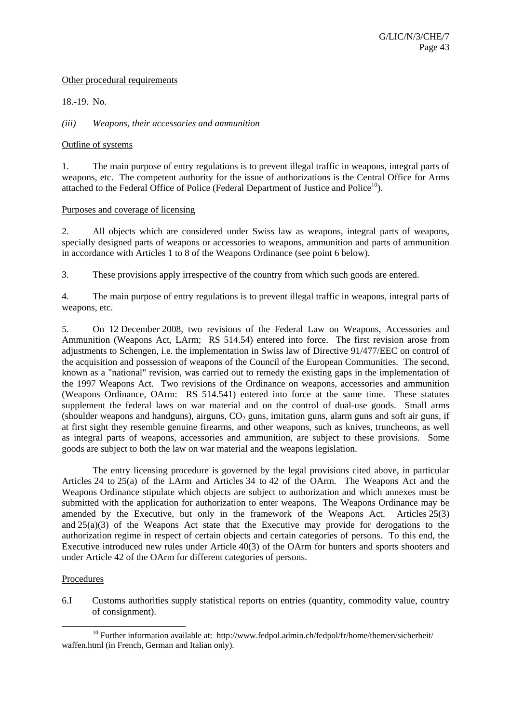## Other procedural requirements

18.-19. No.

*(iii) Weapons, their accessories and ammunition* 

#### Outline of systems

1. The main purpose of entry regulations is to prevent illegal traffic in weapons, integral parts of weapons, etc. The competent authority for the issue of authorizations is the Central Office for Arms attached to the Federal Office of Police (Federal Department of Justice and Police $10$ ).

#### Purposes and coverage of licensing

2. All objects which are considered under Swiss law as weapons, integral parts of weapons, specially designed parts of weapons or accessories to weapons, ammunition and parts of ammunition in accordance with Articles 1 to 8 of the Weapons Ordinance (see point 6 below).

3. These provisions apply irrespective of the country from which such goods are entered.

4. The main purpose of entry regulations is to prevent illegal traffic in weapons, integral parts of weapons, etc.

5. On 12 December 2008, two revisions of the Federal Law on Weapons, Accessories and Ammunition (Weapons Act, LArm; RS 514.54) entered into force. The first revision arose from adjustments to Schengen, i.e. the implementation in Swiss law of Directive 91/477/EEC on control of the acquisition and possession of weapons of the Council of the European Communities. The second, known as a "national" revision, was carried out to remedy the existing gaps in the implementation of the 1997 Weapons Act. Two revisions of the Ordinance on weapons, accessories and ammunition (Weapons Ordinance, OArm: RS 514.541) entered into force at the same time. These statutes supplement the federal laws on war material and on the control of dual-use goods. Small arms (shoulder weapons and handguns), airguns,  $CO<sub>2</sub>$  guns, imitation guns, alarm guns and soft air guns, if at first sight they resemble genuine firearms, and other weapons, such as knives, truncheons, as well as integral parts of weapons, accessories and ammunition, are subject to these provisions. Some goods are subject to both the law on war material and the weapons legislation.

 The entry licensing procedure is governed by the legal provisions cited above, in particular Articles 24 to 25(a) of the LArm and Articles 34 to 42 of the OArm. The Weapons Act and the Weapons Ordinance stipulate which objects are subject to authorization and which annexes must be submitted with the application for authorization to enter weapons. The Weapons Ordinance may be amended by the Executive, but only in the framework of the Weapons Act. Articles 25(3) and  $25(a)(3)$  of the Weapons Act state that the Executive may provide for derogations to the authorization regime in respect of certain objects and certain categories of persons. To this end, the Executive introduced new rules under Article 40(3) of the OArm for hunters and sports shooters and under Article 42 of the OArm for different categories of persons.

# Procedures

6.I Customs authorities supply statistical reports on entries (quantity, commodity value, country of consignment).

<sup>&</sup>lt;sup>10</sup> Further information available at: http://www.fedpol.admin.ch/fedpol/fr/home/themen/sicherheit/ waffen.html (in French, German and Italian only).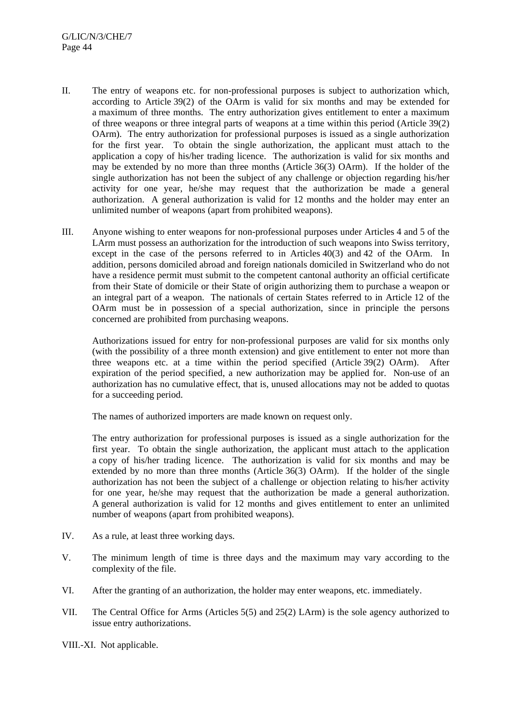- II. The entry of weapons etc. for non-professional purposes is subject to authorization which, according to Article 39(2) of the OArm is valid for six months and may be extended for a maximum of three months. The entry authorization gives entitlement to enter a maximum of three weapons or three integral parts of weapons at a time within this period (Article 39(2) OArm). The entry authorization for professional purposes is issued as a single authorization for the first year. To obtain the single authorization, the applicant must attach to the application a copy of his/her trading licence. The authorization is valid for six months and may be extended by no more than three months (Article 36(3) OArm). If the holder of the single authorization has not been the subject of any challenge or objection regarding his/her activity for one year, he/she may request that the authorization be made a general authorization. A general authorization is valid for 12 months and the holder may enter an unlimited number of weapons (apart from prohibited weapons).
- III. Anyone wishing to enter weapons for non-professional purposes under Articles 4 and 5 of the LArm must possess an authorization for the introduction of such weapons into Swiss territory, except in the case of the persons referred to in Articles 40(3) and 42 of the OArm. In addition, persons domiciled abroad and foreign nationals domiciled in Switzerland who do not have a residence permit must submit to the competent cantonal authority an official certificate from their State of domicile or their State of origin authorizing them to purchase a weapon or an integral part of a weapon. The nationals of certain States referred to in Article 12 of the OArm must be in possession of a special authorization, since in principle the persons concerned are prohibited from purchasing weapons.

 Authorizations issued for entry for non-professional purposes are valid for six months only (with the possibility of a three month extension) and give entitlement to enter not more than three weapons etc. at a time within the period specified (Article 39(2) OArm). After expiration of the period specified, a new authorization may be applied for. Non-use of an authorization has no cumulative effect, that is, unused allocations may not be added to quotas for a succeeding period.

The names of authorized importers are made known on request only.

 The entry authorization for professional purposes is issued as a single authorization for the first year. To obtain the single authorization, the applicant must attach to the application a copy of his/her trading licence. The authorization is valid for six months and may be extended by no more than three months (Article 36(3) OArm). If the holder of the single authorization has not been the subject of a challenge or objection relating to his/her activity for one year, he/she may request that the authorization be made a general authorization. A general authorization is valid for 12 months and gives entitlement to enter an unlimited number of weapons (apart from prohibited weapons).

- IV. As a rule, at least three working days.
- V. The minimum length of time is three days and the maximum may vary according to the complexity of the file.
- VI. After the granting of an authorization, the holder may enter weapons, etc. immediately.
- VII. The Central Office for Arms (Articles 5(5) and 25(2) LArm) is the sole agency authorized to issue entry authorizations.

VIII.-XI. Not applicable.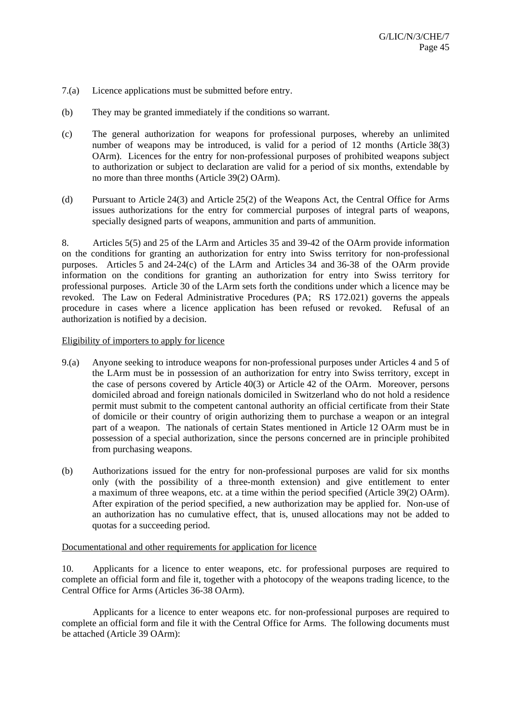- 7.(a) Licence applications must be submitted before entry.
- (b) They may be granted immediately if the conditions so warrant.
- (c) The general authorization for weapons for professional purposes, whereby an unlimited number of weapons may be introduced, is valid for a period of 12 months (Article 38(3) OArm). Licences for the entry for non-professional purposes of prohibited weapons subject to authorization or subject to declaration are valid for a period of six months, extendable by no more than three months (Article 39(2) OArm).
- (d) Pursuant to Article 24(3) and Article 25(2) of the Weapons Act, the Central Office for Arms issues authorizations for the entry for commercial purposes of integral parts of weapons, specially designed parts of weapons, ammunition and parts of ammunition.

8. Articles 5(5) and 25 of the LArm and Articles 35 and 39-42 of the OArm provide information on the conditions for granting an authorization for entry into Swiss territory for non-professional purposes. Articles 5 and 24-24(c) of the LArm and Articles 34 and 36-38 of the OArm provide information on the conditions for granting an authorization for entry into Swiss territory for professional purposes. Article 30 of the LArm sets forth the conditions under which a licence may be revoked. The Law on Federal Administrative Procedures (PA; RS 172.021) governs the appeals procedure in cases where a licence application has been refused or revoked. Refusal of an authorization is notified by a decision.

# Eligibility of importers to apply for licence

- 9.(a) Anyone seeking to introduce weapons for non-professional purposes under Articles 4 and 5 of the LArm must be in possession of an authorization for entry into Swiss territory, except in the case of persons covered by Article 40(3) or Article 42 of the OArm. Moreover, persons domiciled abroad and foreign nationals domiciled in Switzerland who do not hold a residence permit must submit to the competent cantonal authority an official certificate from their State of domicile or their country of origin authorizing them to purchase a weapon or an integral part of a weapon. The nationals of certain States mentioned in Article 12 OArm must be in possession of a special authorization, since the persons concerned are in principle prohibited from purchasing weapons.
- (b) Authorizations issued for the entry for non-professional purposes are valid for six months only (with the possibility of a three-month extension) and give entitlement to enter a maximum of three weapons, etc. at a time within the period specified (Article 39(2) OArm). After expiration of the period specified, a new authorization may be applied for. Non-use of an authorization has no cumulative effect, that is, unused allocations may not be added to quotas for a succeeding period.

# Documentational and other requirements for application for licence

10. Applicants for a licence to enter weapons, etc. for professional purposes are required to complete an official form and file it, together with a photocopy of the weapons trading licence, to the Central Office for Arms (Articles 36-38 OArm).

 Applicants for a licence to enter weapons etc. for non-professional purposes are required to complete an official form and file it with the Central Office for Arms. The following documents must be attached (Article 39 OArm):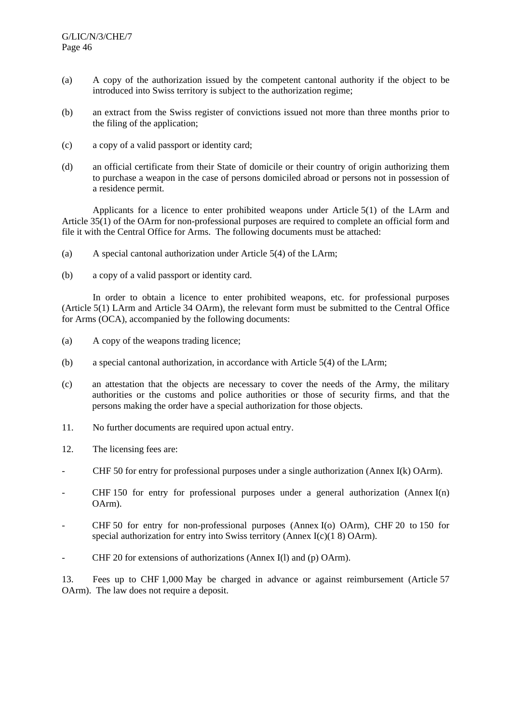- (a) A copy of the authorization issued by the competent cantonal authority if the object to be introduced into Swiss territory is subject to the authorization regime;
- (b) an extract from the Swiss register of convictions issued not more than three months prior to the filing of the application;
- (c) a copy of a valid passport or identity card;
- (d) an official certificate from their State of domicile or their country of origin authorizing them to purchase a weapon in the case of persons domiciled abroad or persons not in possession of a residence permit.

 Applicants for a licence to enter prohibited weapons under Article 5(1) of the LArm and Article 35(1) of the OArm for non-professional purposes are required to complete an official form and file it with the Central Office for Arms. The following documents must be attached:

- (a) A special cantonal authorization under Article 5(4) of the LArm;
- (b) a copy of a valid passport or identity card.

 In order to obtain a licence to enter prohibited weapons, etc. for professional purposes (Article 5(1) LArm and Article 34 OArm), the relevant form must be submitted to the Central Office for Arms (OCA), accompanied by the following documents:

- (a) A copy of the weapons trading licence;
- (b) a special cantonal authorization, in accordance with Article 5(4) of the LArm;
- (c) an attestation that the objects are necessary to cover the needs of the Army, the military authorities or the customs and police authorities or those of security firms, and that the persons making the order have a special authorization for those objects.
- 11. No further documents are required upon actual entry.
- 12. The licensing fees are:
- CHF 50 for entry for professional purposes under a single authorization (Annex I(k) OArm).
- CHF 150 for entry for professional purposes under a general authorization (Annex I(n) OArm).
- CHF 50 for entry for non-professional purposes (Annex I(o) OArm), CHF 20 to 150 for special authorization for entry into Swiss territory (Annex I(c)(1 8) OArm).
- CHF 20 for extensions of authorizations (Annex I(l) and (p) OArm).

13. Fees up to CHF 1,000 May be charged in advance or against reimbursement (Article 57 OArm). The law does not require a deposit.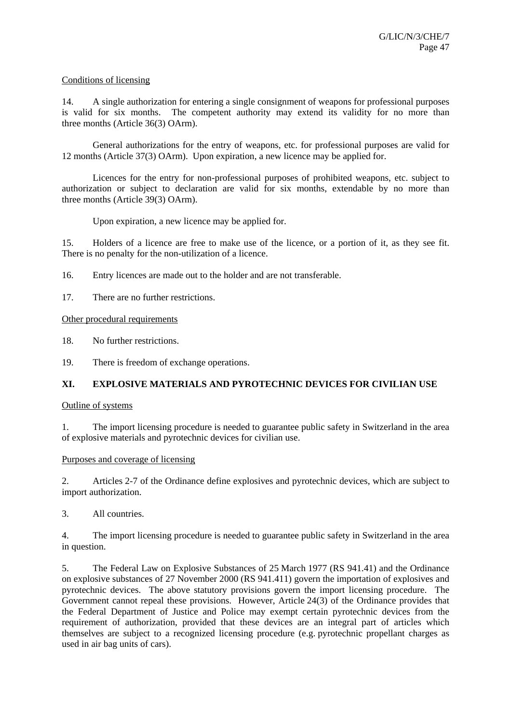# Conditions of licensing

14. A single authorization for entering a single consignment of weapons for professional purposes is valid for six months. The competent authority may extend its validity for no more than three months (Article 36(3) OArm).

 General authorizations for the entry of weapons, etc. for professional purposes are valid for 12 months (Article 37(3) OArm). Upon expiration, a new licence may be applied for.

 Licences for the entry for non-professional purposes of prohibited weapons, etc. subject to authorization or subject to declaration are valid for six months, extendable by no more than three months (Article 39(3) OArm).

Upon expiration, a new licence may be applied for.

15. Holders of a licence are free to make use of the licence, or a portion of it, as they see fit. There is no penalty for the non-utilization of a licence.

16. Entry licences are made out to the holder and are not transferable.

17. There are no further restrictions.

Other procedural requirements

18. No further restrictions.

19. There is freedom of exchange operations.

# **XI. EXPLOSIVE MATERIALS AND PYROTECHNIC DEVICES FOR CIVILIAN USE**

# Outline of systems

1. The import licensing procedure is needed to guarantee public safety in Switzerland in the area of explosive materials and pyrotechnic devices for civilian use.

# Purposes and coverage of licensing

2. Articles 2-7 of the Ordinance define explosives and pyrotechnic devices, which are subject to import authorization.

3. All countries.

4. The import licensing procedure is needed to guarantee public safety in Switzerland in the area in question.

5. The Federal Law on Explosive Substances of 25 March 1977 (RS 941.41) and the Ordinance on explosive substances of 27 November 2000 (RS 941.411) govern the importation of explosives and pyrotechnic devices. The above statutory provisions govern the import licensing procedure. The Government cannot repeal these provisions. However, Article 24(3) of the Ordinance provides that the Federal Department of Justice and Police may exempt certain pyrotechnic devices from the requirement of authorization, provided that these devices are an integral part of articles which themselves are subject to a recognized licensing procedure (e.g. pyrotechnic propellant charges as used in air bag units of cars).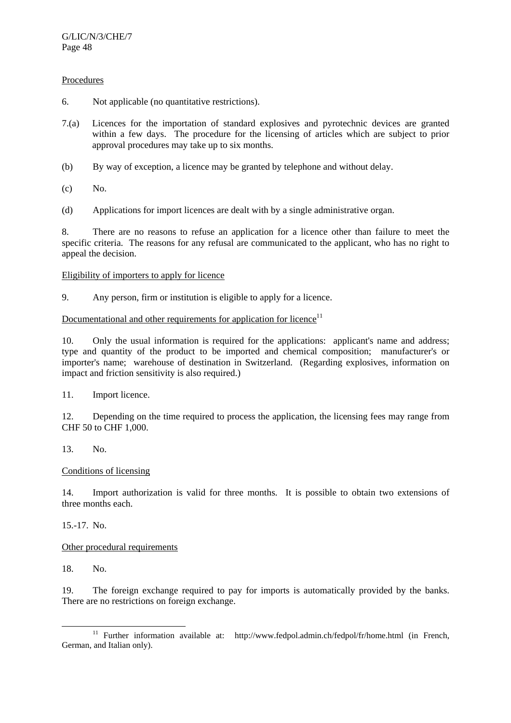# **Procedures**

- 6. Not applicable (no quantitative restrictions).
- 7.(a) Licences for the importation of standard explosives and pyrotechnic devices are granted within a few days. The procedure for the licensing of articles which are subject to prior approval procedures may take up to six months.
- (b) By way of exception, a licence may be granted by telephone and without delay.
- (c) No.
- (d) Applications for import licences are dealt with by a single administrative organ.

8. There are no reasons to refuse an application for a licence other than failure to meet the specific criteria. The reasons for any refusal are communicated to the applicant, who has no right to appeal the decision.

# Eligibility of importers to apply for licence

9. Any person, firm or institution is eligible to apply for a licence.

# Documentational and other requirements for application for licence<sup>11</sup>

10. Only the usual information is required for the applications: applicant's name and address; type and quantity of the product to be imported and chemical composition; manufacturer's or importer's name; warehouse of destination in Switzerland. (Regarding explosives, information on impact and friction sensitivity is also required.)

11. Import licence.

12. Depending on the time required to process the application, the licensing fees may range from CHF 50 to CHF 1,000.

# 13. No.

# Conditions of licensing

14. Import authorization is valid for three months. It is possible to obtain two extensions of three months each.

15.-17. No.

# Other procedural requirements

18. No.

19. The foreign exchange required to pay for imports is automatically provided by the banks. There are no restrictions on foreign exchange.

<sup>&</sup>lt;sup>11</sup> Further information available at: http://www.fedpol.admin.ch/fedpol/fr/home.html (in French, German, and Italian only).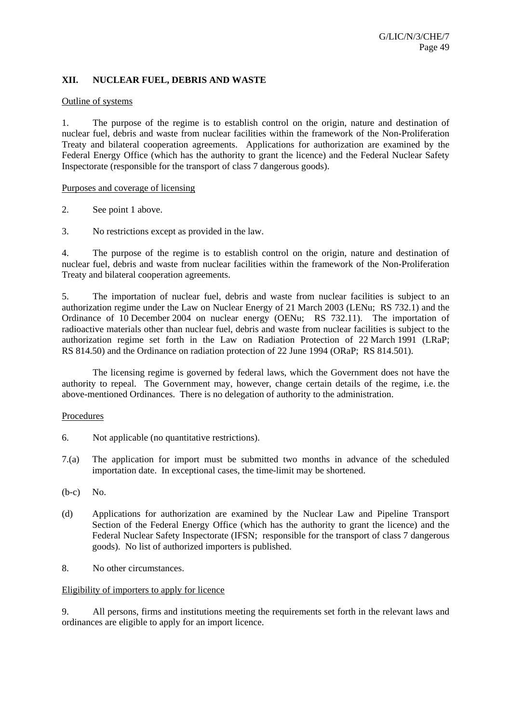# **XII. NUCLEAR FUEL, DEBRIS AND WASTE**

#### Outline of systems

1. The purpose of the regime is to establish control on the origin, nature and destination of nuclear fuel, debris and waste from nuclear facilities within the framework of the Non-Proliferation Treaty and bilateral cooperation agreements. Applications for authorization are examined by the Federal Energy Office (which has the authority to grant the licence) and the Federal Nuclear Safety Inspectorate (responsible for the transport of class 7 dangerous goods).

#### Purposes and coverage of licensing

- 2. See point 1 above.
- 3. No restrictions except as provided in the law.

4. The purpose of the regime is to establish control on the origin, nature and destination of nuclear fuel, debris and waste from nuclear facilities within the framework of the Non-Proliferation Treaty and bilateral cooperation agreements.

5. The importation of nuclear fuel, debris and waste from nuclear facilities is subject to an authorization regime under the Law on Nuclear Energy of 21 March 2003 (LENu; RS 732.1) and the Ordinance of 10 December 2004 on nuclear energy (OENu; RS 732.11). The importation of radioactive materials other than nuclear fuel, debris and waste from nuclear facilities is subject to the authorization regime set forth in the Law on Radiation Protection of 22 March 1991 (LRaP; RS 814.50) and the Ordinance on radiation protection of 22 June 1994 (ORaP; RS 814.501).

 The licensing regime is governed by federal laws, which the Government does not have the authority to repeal. The Government may, however, change certain details of the regime, i.e. the above-mentioned Ordinances. There is no delegation of authority to the administration.

# Procedures

- 6. Not applicable (no quantitative restrictions).
- 7.(a) The application for import must be submitted two months in advance of the scheduled importation date. In exceptional cases, the time-limit may be shortened.
- (b-c) No.
- (d) Applications for authorization are examined by the Nuclear Law and Pipeline Transport Section of the Federal Energy Office (which has the authority to grant the licence) and the Federal Nuclear Safety Inspectorate (IFSN; responsible for the transport of class 7 dangerous goods). No list of authorized importers is published.
- 8. No other circumstances.

# Eligibility of importers to apply for licence

9. All persons, firms and institutions meeting the requirements set forth in the relevant laws and ordinances are eligible to apply for an import licence.